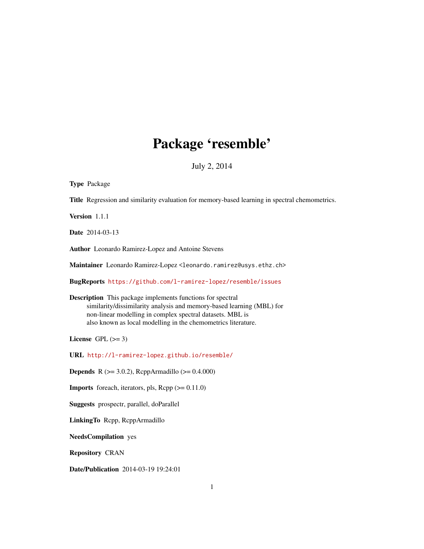# Package 'resemble'

July 2, 2014

<span id="page-0-0"></span>

| <b>Type Package</b>                                                                                                                                                                                                                                                      |
|--------------------------------------------------------------------------------------------------------------------------------------------------------------------------------------------------------------------------------------------------------------------------|
| Title Regression and similarity evaluation for memory-based learning in spectral chemometrics.                                                                                                                                                                           |
| Version 1.1.1                                                                                                                                                                                                                                                            |
| <b>Date</b> 2014-03-13                                                                                                                                                                                                                                                   |
| Author Leonardo Ramirez-Lopez and Antoine Stevens                                                                                                                                                                                                                        |
| Maintainer Leonardo Ramirez-Lopez <leonardo.ramirez@usys.ethz.ch></leonardo.ramirez@usys.ethz.ch>                                                                                                                                                                        |
| BugReports https://github.com/l-ramirez-lopez/resemble/issues                                                                                                                                                                                                            |
| <b>Description</b> This package implements functions for spectral<br>similarity/dissimilarity analysis and memory-based learning (MBL) for<br>non-linear modelling in complex spectral datasets. MBL is<br>also known as local modelling in the chemometrics literature. |
| License GPL $(>= 3)$                                                                                                                                                                                                                                                     |
| URL http://l-ramirez-lopez.github.io/resemble/                                                                                                                                                                                                                           |
| <b>Depends</b> R ( $>= 3.0.2$ ), RcppArmadillo ( $>= 0.4.000$ )                                                                                                                                                                                                          |
| <b>Imports</b> foreach, iterators, pls, $\text{Rcpp} (> = 0.11.0)$                                                                                                                                                                                                       |
| Suggests prospectr, parallel, doParallel                                                                                                                                                                                                                                 |
| LinkingTo Repp, ReppArmadillo                                                                                                                                                                                                                                            |
| <b>NeedsCompilation</b> yes                                                                                                                                                                                                                                              |
| <b>Repository CRAN</b>                                                                                                                                                                                                                                                   |
| <b>Date/Publication</b> 2014-03-19 19:24:01                                                                                                                                                                                                                              |
| 1                                                                                                                                                                                                                                                                        |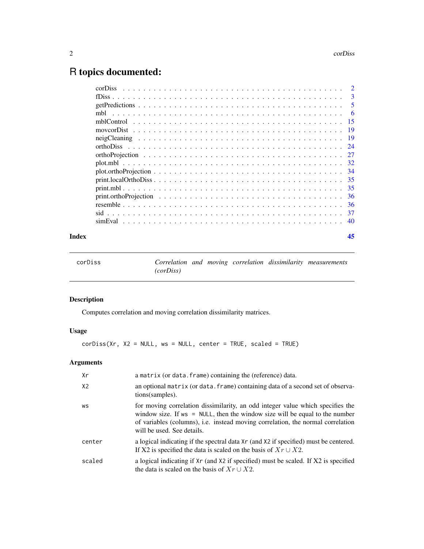# <span id="page-1-0"></span>R topics documented:

| corDiss                                                                                                           |     |
|-------------------------------------------------------------------------------------------------------------------|-----|
|                                                                                                                   | 3   |
|                                                                                                                   | 5   |
|                                                                                                                   | -6  |
|                                                                                                                   | -15 |
|                                                                                                                   | 19  |
|                                                                                                                   |     |
|                                                                                                                   | 24  |
|                                                                                                                   | -27 |
|                                                                                                                   | 32  |
| $plot. orthoProjection \dots \dots \dots \dots \dots \dots \dots \dots \dots \dots \dots \dots \dots \dots \dots$ | -34 |
|                                                                                                                   | -35 |
|                                                                                                                   | -35 |
|                                                                                                                   | -36 |
|                                                                                                                   | -36 |
|                                                                                                                   | -37 |
| simEval                                                                                                           | 40  |
|                                                                                                                   |     |

#### **Index** [45](#page-44-0)

<span id="page-1-1"></span>

| corDiss |           |  |  | Correlation and moving correlation dissimilarity measurements |
|---------|-----------|--|--|---------------------------------------------------------------|
|         | (corDiss) |  |  |                                                               |

#### Description

Computes correlation and moving correlation dissimilarity matrices.

#### Usage

 $corDiss(Xr, X2 = NULL, ws = NULL, center = TRUE, scaled = TRUE)$ 

### Arguments

| Xr             | a matrix (or data. frame) containing the (reference) data.                                                                                                                                                                                                                        |
|----------------|-----------------------------------------------------------------------------------------------------------------------------------------------------------------------------------------------------------------------------------------------------------------------------------|
| X <sub>2</sub> | an optional matrix (or data. frame) containing data of a second set of observa-<br>tions (samples).                                                                                                                                                                               |
| WS             | for moving correlation dissimilarity, an odd integer value which specifies the<br>window size. If $ws = NULL$ , then the window size will be equal to the number<br>of variables (columns), i.e. instead moving correlation, the normal correlation<br>will be used. See details. |
| center         | a logical indicating if the spectral data Xr (and X2 if specified) must be centered.<br>If X2 is specified the data is scaled on the basis of $Xr \cup X2$ .                                                                                                                      |
| scaled         | a logical indicating if Xr (and X2 if specified) must be scaled. If X2 is specified<br>the data is scaled on the basis of $Xr \cup X2$ .                                                                                                                                          |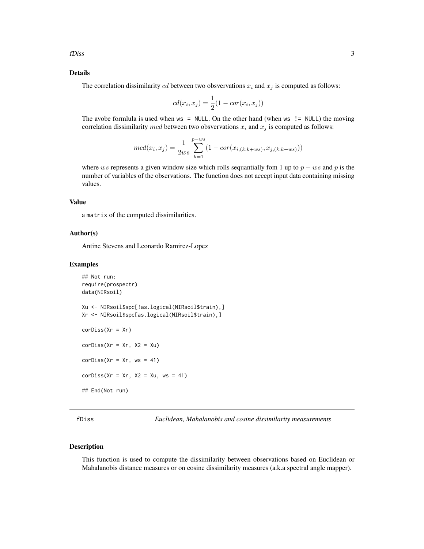<span id="page-2-0"></span>fDiss 3

#### Details

The correlation dissimilarity cd between two obsvervations  $x_i$  and  $x_j$  is computed as follows:

$$
cd(x_i, x_j) = \frac{1}{2}(1 - cor(x_i, x_j))
$$

The avobe formlula is used when  $ws = NULL$ . On the other hand (when  $ws$  != NULL) the moving correlation dissimilarity mcd between two obsvervations  $x_i$  and  $x_j$  is computed as follows:

$$
mcd(x_i, x_j) = \frac{1}{2ws} \sum_{k=1}^{p-ws} (1 - cor(x_{i,(k:k+ws)}, x_{j,(k:k+ws)}))
$$

where ws represents a given window size which rolls sequantially fom 1 up to  $p - ws$  and p is the number of variables of the observations. The function does not accept input data containing missing values.

#### Value

a matrix of the computed dissimilarities.

#### Author(s)

Antine Stevens and Leonardo Ramirez-Lopez

#### Examples

```
## Not run:
require(prospectr)
data(NIRsoil)
Xu <- NIRsoil$spc[!as.logical(NIRsoil$train),]
Xr <- NIRsoil$spc[as.logical(NIRsoil$train),]
corDiss(Xr = Xr)corDiss(Xr = xr, X2 = Xu)corDiss(Xr = xr, ws = 41)corDiss(Xr = xr, X2 = Xu, ws = 41)## End(Not run)
```
<span id="page-2-1"></span>fDiss *Euclidean, Mahalanobis and cosine dissimilarity measurements*

#### Description

This function is used to compute the dissimilarity between observations based on Euclidean or Mahalanobis distance measures or on cosine dissimilarity measures (a.k.a spectral angle mapper).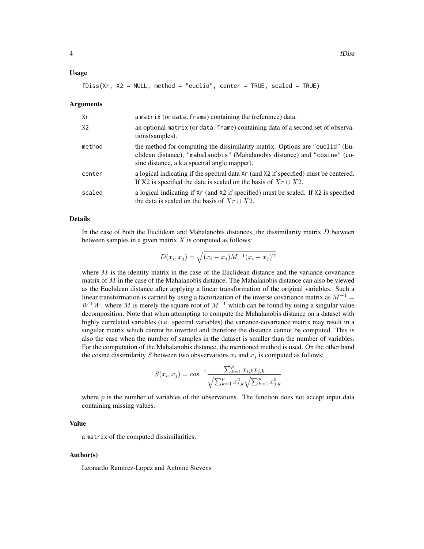#### Usage

$$
fDiss(Xr, X2 = NULL, method = "euclid", center = TRUE, scaled = TRUE)
$$

#### Arguments

| Xr     | a matrix (or data. frame) containing the (reference) data.                                                                                                                                                |
|--------|-----------------------------------------------------------------------------------------------------------------------------------------------------------------------------------------------------------|
| X2     | an optional matrix (or data. frame) containing data of a second set of observa-<br>tions (samples).                                                                                                       |
| method | the method for computing the dissimilarity matrix. Options are "euclid" (Eu-<br>clidean distance), "mahalanobis" (Mahalanobis distance) and "cosine" (co-<br>sine distance, a.k.a spectral angle mapper). |
| center | a logical indicating if the spectral data Xr (and X2 if specified) must be centered.<br>If X2 is specified the data is scaled on the basis of $Xr \cup X2$ .                                              |
| scaled | a logical indicating if Xr (and X2 if specified) must be scaled. If X2 is specified<br>the data is scaled on the basis of $Xr \cup X2$ .                                                                  |

#### Details

In the case of both the Euclidean and Mahalanobis distances, the dissimilarity matrix  $D$  between between samples in a given matrix  $X$  is computed as follows:

$$
D(x_i, x_j) = \sqrt{(x_i - x_j)M^{-1}(x_i - x_j)^{\mathrm{T}}}
$$

where  $M$  is the identity matrix in the case of the Euclidean distance and the variance-covariance matrix of  $M$  in the case of the Mahalanobis distance. The Mahalanobis distance can also be viewed as the Euclidean distance after applying a linear transformation of the original variables. Such a linear transformation is carried by using a factorization of the inverse covariance matrix as  $M^{-1}$  =  $W<sup>T</sup>W$ , where M is merely the square root of  $M<sup>-1</sup>$  which can be found by using a singular value decomposition. Note that when attempting to compute the Mahalanobis distance on a dataset with highly correlated variables (i.e. spectral variables) the variance-covariance matrix may result in a singular matrix which cannot be inverted and therefore the distance cannot be computed. This is also the case when the number of samples in the dataset is smaller than the number of variables. For the computation of the Mahalanobis distance, the mentioned method is used. On the other hand the cosine dissimilarity S between two obsvervations  $x_i$  and  $x_j$  is computed as follows:

$$
S(x_i, x_j) = \cos^{-1} \frac{\sum_{k=1}^p x_{i,k} x_{j,k}}{\sqrt{\sum_{k=1}^p x_{i,k}^2} \sqrt{\sum_{k=1}^p x_{j,k}^2}}
$$

where  $p$  is the number of variables of the observations. The function does not accept input data containing missing values.

#### Value

a matrix of the computed dissimilarities.

#### Author(s)

Leonardo Ramirez-Lopez and Antoine Stevens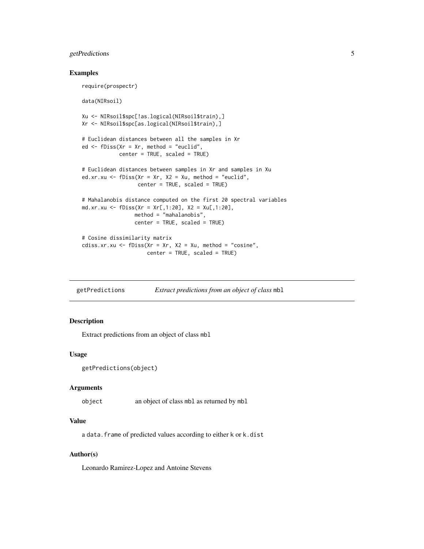#### <span id="page-4-0"></span>getPredictions 5

#### Examples

```
require(prospectr)
data(NIRsoil)
Xu <- NIRsoil$spc[!as.logical(NIRsoil$train),]
Xr <- NIRsoil$spc[as.logical(NIRsoil$train),]
# Euclidean distances between all the samples in Xr
ed <- fDiss(Xr = Xr, method = "euclid",
            center = TRUE, scaled = TRUE)
# Euclidean distances between samples in Xr and samples in Xu
ed.xr.xu <- fDiss(Xr = xr, X2 = Xu, method = "euclid",center = TRUE, scaled = TRUE)
# Mahalanobis distance computed on the first 20 spectral variables
md.xr.xu <- fDiss(Xr = Xr[,1:20], X2 = Xu[,1:20],
                 method = "mahalanobis",
                 center = TRUE, scaled = TRUE)
# Cosine dissimilarity matrix
cdiss.xr.xu <- fDiss(Xr = Xr, X2 = Xu, method = "cosine",center = TRUE, scaled = TRUE)
```
getPredictions *Extract predictions from an object of class* mbl

#### Description

Extract predictions from an object of class mbl

#### Usage

```
getPredictions(object)
```
#### Arguments

object an object of class mbl as returned by mbl

#### Value

a data.frame of predicted values according to either k or k.dist

#### Author(s)

Leonardo Ramirez-Lopez and Antoine Stevens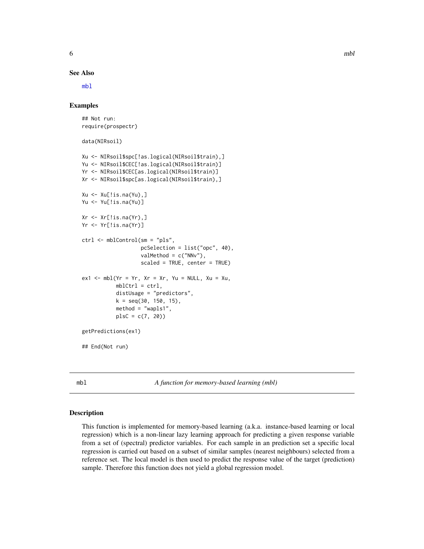<span id="page-5-0"></span>See Also

[mbl](#page-5-1)

#### Examples

```
## Not run:
require(prospectr)
data(NIRsoil)
Xu <- NIRsoil$spc[!as.logical(NIRsoil$train),]
Yu <- NIRsoil$CEC[!as.logical(NIRsoil$train)]
Yr <- NIRsoil$CEC[as.logical(NIRsoil$train)]
Xr <- NIRsoil$spc[as.logical(NIRsoil$train),]
Xu <- Xu[!is.na(Yu),]
Yu <- Yu[!is.na(Yu)]
Xr \leftarrow Xr[!is.na(Yr),]Yr <- Yr[!is.na(Yr)]
ctrl <- mblControl(sm = "pls",
                   pcSelection = list("opc", 40),
                   valMethod = c("NNv"),
                   scaled = TRUE, center = TRUE)
ex1 < - mbl(Yr = Yr, Xr = Xr, Yu = NULL, Xu = Xu,mblCtrl = ctrl,distUsage = "predictors",
           k = seq(30, 150, 15),
           method = "wapls1",
           plsC = c(7, 20)getPredictions(ex1)
## End(Not run)
```
<span id="page-5-1"></span>mbl *A function for memory-based learning (mbl)*

#### Description

This function is implemented for memory-based learning (a.k.a. instance-based learning or local regression) which is a non-linear lazy learning approach for predicting a given response variable from a set of (spectral) predictor variables. For each sample in an prediction set a specific local regression is carried out based on a subset of similar samples (nearest neighbours) selected from a reference set. The local model is then used to predict the response value of the target (prediction) sample. Therefore this function does not yield a global regression model.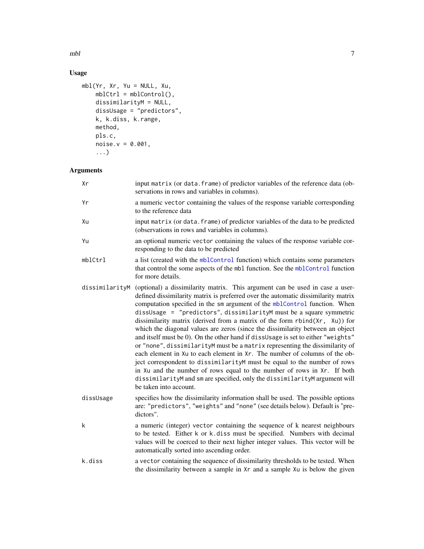<span id="page-6-0"></span> $mbl$  7

#### Usage

```
mbl(Yr, Xr, Yu = NULL, Xu,
    mblCtrl = mblControl(),
    dissimilarityM = NULL,dissUsage = "predictors",
    k, k.diss, k.range,
    method,
    pls.c,
    noise.v = 0.001,
    ...)
```
### Arguments

| Xr             | input matrix (or data. frame) of predictor variables of the reference data (ob-<br>servations in rows and variables in columns).                                                                                                                                                                                                                                                                                                                                                                                                                                                                                                                                                                                                                                                                                                                                                                                                                                                                       |
|----------------|--------------------------------------------------------------------------------------------------------------------------------------------------------------------------------------------------------------------------------------------------------------------------------------------------------------------------------------------------------------------------------------------------------------------------------------------------------------------------------------------------------------------------------------------------------------------------------------------------------------------------------------------------------------------------------------------------------------------------------------------------------------------------------------------------------------------------------------------------------------------------------------------------------------------------------------------------------------------------------------------------------|
| Yr             | a numeric vector containing the values of the response variable corresponding<br>to the reference data                                                                                                                                                                                                                                                                                                                                                                                                                                                                                                                                                                                                                                                                                                                                                                                                                                                                                                 |
| Xu             | input matrix (or data. frame) of predictor variables of the data to be predicted<br>(observations in rows and variables in columns).                                                                                                                                                                                                                                                                                                                                                                                                                                                                                                                                                                                                                                                                                                                                                                                                                                                                   |
| Yu             | an optional numeric vector containing the values of the response variable cor-<br>responding to the data to be predicted                                                                                                                                                                                                                                                                                                                                                                                                                                                                                                                                                                                                                                                                                                                                                                                                                                                                               |
| mblCtrl        | a list (created with the mblControl function) which contains some parameters<br>that control the some aspects of the mbl function. See the mblControl function<br>for more details.                                                                                                                                                                                                                                                                                                                                                                                                                                                                                                                                                                                                                                                                                                                                                                                                                    |
| dissimilarityM | (optional) a dissimilarity matrix. This argument can be used in case a user-<br>defined dissimilarity matrix is preferred over the automatic dissimilarity matrix<br>computation specified in the sm argument of the mblControl function. When<br>dissUsage = "predictors", dissimilarityM must be a square symmetric<br>dissimilarity matrix (derived from a matrix of the form rbind(Xr, Xu)) for<br>which the diagonal values are zeros (since the dissimilarity between an object<br>and itself must be 0). On the other hand if dissusage is set to either "weights"<br>or "none", dissimilarityM must be a matrix representing the dissimilarity of<br>each element in Xu to each element in Xr. The number of columns of the ob-<br>ject correspondent to dissimilarityM must be equal to the number of rows<br>in Xu and the number of rows equal to the number of rows in Xr. If both<br>dissimilarityM and sm are specified, only the dissimilarityM argument will<br>be taken into account. |
| dissUsage      | specifies how the dissimilarity information shall be used. The possible options<br>are: "predictors", "weights" and "none" (see details below). Default is "pre-<br>dictors".                                                                                                                                                                                                                                                                                                                                                                                                                                                                                                                                                                                                                                                                                                                                                                                                                          |
| k              | a numeric (integer) vector containing the sequence of k nearest neighbours<br>to be tested. Either k or k.diss must be specified. Numbers with decimal<br>values will be coerced to their next higher integer values. This vector will be<br>automatically sorted into ascending order.                                                                                                                                                                                                                                                                                                                                                                                                                                                                                                                                                                                                                                                                                                                |
| k.diss         | a vector containing the sequence of dissimilarity thresholds to be tested. When<br>the dissimilarity between a sample in Xr and a sample Xu is below the given                                                                                                                                                                                                                                                                                                                                                                                                                                                                                                                                                                                                                                                                                                                                                                                                                                         |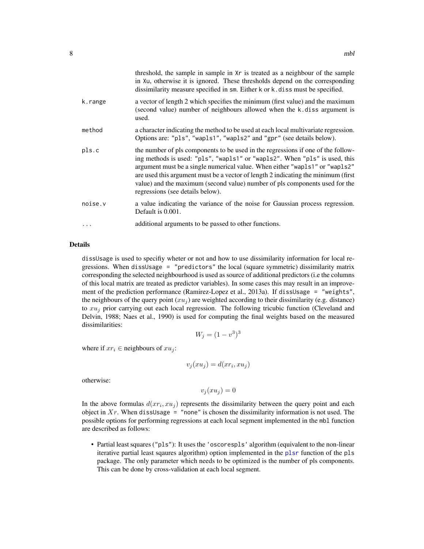<span id="page-7-0"></span>

|         | threshold, the sample in sample in Xr is treated as a neighbour of the sample<br>in Xu, otherwise it is ignored. These thresholds depend on the corresponding<br>dissimilarity measure specified in sm. Either k or k. diss must be specified.                                                                                                                                                                                                        |
|---------|-------------------------------------------------------------------------------------------------------------------------------------------------------------------------------------------------------------------------------------------------------------------------------------------------------------------------------------------------------------------------------------------------------------------------------------------------------|
| k.range | a vector of length 2 which specifies the minimum (first value) and the maximum<br>(second value) number of neighbours allowed when the k.diss argument is<br>used.                                                                                                                                                                                                                                                                                    |
| method  | a character indicating the method to be used at each local multivariate regression.<br>Options are: "pls", "wapls1", "wapls2" and "gpr" (see details below).                                                                                                                                                                                                                                                                                          |
| pls.c   | the number of pls components to be used in the regressions if one of the follow-<br>ing methods is used: "pls", "wapls1" or "wapls2". When "pls" is used, this<br>argument must be a single numerical value. When either "wap1s1" or "wap1s2"<br>are used this argument must be a vector of length 2 indicating the minimum (first<br>value) and the maximum (second value) number of pls components used for the<br>regressions (see details below). |
| noise.v | a value indicating the variance of the noise for Gaussian process regression.<br>Default is 0.001.                                                                                                                                                                                                                                                                                                                                                    |
| .       | additional arguments to be passed to other functions.                                                                                                                                                                                                                                                                                                                                                                                                 |

#### Details

dissUsage is used to specifiy wheter or not and how to use dissimilarity information for local regressions. When dissUsage = "predictors" the local (square symmetric) dissimilarity matrix corresponding the selected neighbourhood is used as source of additional predictors (i.e the columns of this local matrix are treated as predictor variables). In some cases this may result in an improvement of the prediction performance (Ramirez-Lopez et al., 2013a). If dissUsage = "weights", the neighbours of the query point  $(xu_i)$  are weighted according to their dissimilarity (e.g. distance) to  $xu_j$  prior carrying out each local regression. The following tricubic function (Cleveland and Delvin, 1988; Naes et al., 1990) is used for computing the final weights based on the measured dissimilarities:

$$
W_j = (1 - v^3)^3
$$

where if  $xr_i \in$  neighbours of  $xu_i$ :

$$
v_j(xu_j) = d(xr_i, xu_j)
$$

otherwise:

$$
v_j(xu_j) = 0
$$

In the above formulas  $d(xr_i, xu_j)$  represents the dissimilarity between the query point and each object in  $Xr$ . When dissUsage = "none" is chosen the dissimilarity information is not used. The possible options for performing regressions at each local segment implemented in the mbl function are described as follows:

• Partial least squares ("pls"): It uses the 'oscorespls' algorithm (equivalent to the non-linear iterative partial least sqaures algorithm) option implemented in the [plsr](#page-0-0) function of the pls package. The only parameter which needs to be optimized is the number of pls components. This can be done by cross-validation at each local segment.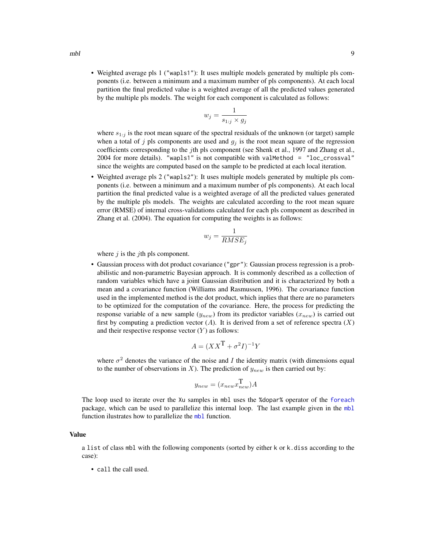• Weighted average pls 1 ("wapls1"): It uses multiple models generated by multiple pls components (i.e. between a minimum and a maximum number of pls components). At each local partition the final predicted value is a weighted average of all the predicted values generated by the multiple pls models. The weight for each component is calculated as follows:

$$
w_j = \frac{1}{s_{1:j} \times g_j}
$$

where  $s_{1:j}$  is the root mean square of the spectral residuals of the unknown (or target) sample when a total of j pls components are used and  $q_i$  is the root mean square of the regression coefficients corresponding to the *j*th pls component (see Shenk et al., 1997 and Zhang et al., 2004 for more details). "wapls1" is not compatible with valMethod = "loc\_crossval" since the weights are computed based on the sample to be predicted at each local iteration.

• Weighted average pls 2 ("wapls2"): It uses multiple models generated by multiple pls components (i.e. between a minimum and a maximum number of pls components). At each local partition the final predicted value is a weighted average of all the predicted values generated by the multiple pls models. The weights are calculated according to the root mean square error (RMSE) of internal cross-validations calculated for each pls component as described in Zhang et al. (2004). The equation for computing the weights is as follows:

$$
w_j = \frac{1}{RMSE_j}
$$

where  $j$  is the *j*th pls component.

• Gaussian process with dot product covariance ("gpr"): Gaussian process regression is a probabilistic and non-parametric Bayesian approach. It is commonly described as a collection of random variables which have a joint Gaussian distribution and it is characterized by both a mean and a covariance function (Williams and Rasmussen, 1996). The covariance function used in the implemented method is the dot product, which inplies that there are no parameters to be optimized for the computation of the covariance. Here, the process for predicting the response variable of a new sample  $(y_{new})$  from its predictor variables  $(x_{new})$  is carried out first by computing a prediction vector  $(A)$ . It is derived from a set of reference spectra  $(X)$ and their respective response vector  $(Y)$  as follows:

$$
A = (XX^{\mathsf{T}} + \sigma^2 I)^{-1} Y
$$

where  $\sigma^2$  denotes the variance of the noise and I the identity matrix (with dimensions equal to the number of observations in X). The prediction of  $y_{new}$  is then carried out by:

$$
y_{new} = (x_{new} x_{new}^{\mathbf{T}}) A
$$

The loop used to iterate over the Xu samples in mbl uses the %dopar% operator of the [foreach](#page-0-0) package, which can be used to parallelize this internal loop. The last example given in the [mbl](#page-5-1) function ilustrates how to parallelize the [mbl](#page-5-1) function.

#### Value

a list of class mbl with the following components (sorted by either k or k.diss according to the case):

• call the call used.

<span id="page-8-0"></span> $mbl$  9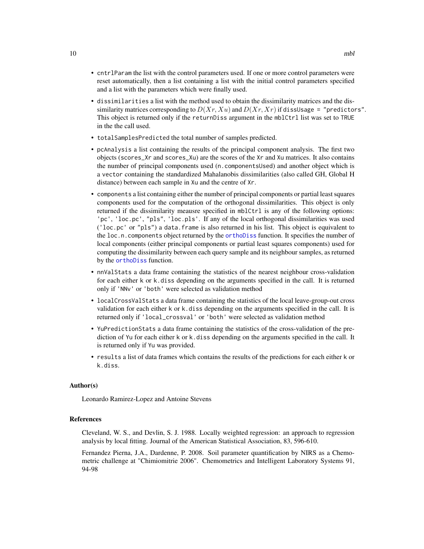- <span id="page-9-0"></span>• cntrlParam the list with the control parameters used. If one or more control parameters were reset automatically, then a list containing a list with the initial control parameters specified and a list with the parameters which were finally used.
- dissimilarities a list with the method used to obtain the dissimilarity matrices and the dissimilarity matrices corresponding to  $D(Xr, Xu)$  and  $D(Xr, Xr)$  if dissusage = "predictors". This object is returned only if the returnDiss argument in the mblCtrl list was set to TRUE in the the call used.
- totalSamplesPredicted the total number of samples predicted.
- pcAnalysis a list containing the results of the principal component analysis. The first two objects (scores\_Xr and scores\_Xu) are the scores of the Xr and Xu matrices. It also contains the number of principal components used (n.componentsUsed) and another object which is a vector containing the standardized Mahalanobis dissimilarities (also called GH, Global H distance) between each sample in Xu and the centre of Xr.
- components a list containing either the number of principal components or partial least squares components used for the computation of the orthogonal dissimilarities. This object is only returned if the dissimilarity meausre specified in mblCtrl is any of the following options: 'pc', 'loc.pc', "pls", 'loc.pls'. If any of the local orthogonal dissimilarities was used ('loc.pc' or "pls") a data.frame is also returned in his list. This object is equivalent to the loc.n.components object returned by the [orthoDiss](#page-23-1) function. It specifies the number of local components (either principal components or partial least squares components) used for computing the dissimilarity between each query sample and its neighbour samples, as returned by the [orthoDiss](#page-23-1) function.
- nnValStats a data frame containing the statistics of the nearest neighbour cross-validation for each either k or k.diss depending on the arguments specified in the call. It is returned only if 'NNv' or 'both' were selected as validation method
- localCrossValStats a data frame containing the statistics of the local leave-group-out cross validation for each either k or k.diss depending on the arguments specified in the call. It is returned only if 'local\_crossval' or 'both' were selected as validation method
- YuPredictionStats a data frame containing the statistics of the cross-validation of the prediction of Yu for each either k or k.diss depending on the arguments specified in the call. It is returned only if Yu was provided.
- results a list of data frames which contains the results of the predictions for each either k or k.diss.

#### Author(s)

Leonardo Ramirez-Lopez and Antoine Stevens

#### References

Cleveland, W. S., and Devlin, S. J. 1988. Locally weighted regression: an approach to regression analysis by local fitting. Journal of the American Statistical Association, 83, 596-610.

Fernandez Pierna, J.A., Dardenne, P. 2008. Soil parameter quantification by NIRS as a Chemometric challenge at "Chimiomitrie 2006". Chemometrics and Intelligent Laboratory Systems 91, 94-98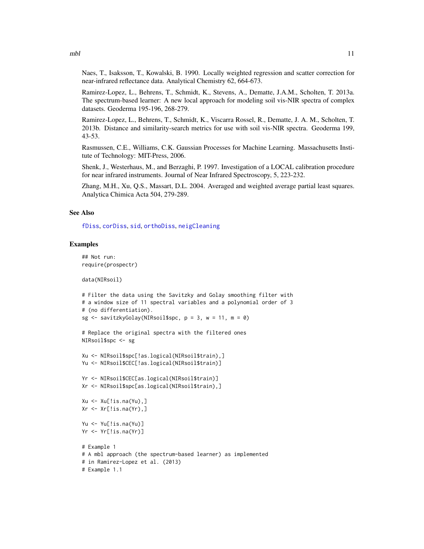<span id="page-10-0"></span> $mbl$  11

Naes, T., Isaksson, T., Kowalski, B. 1990. Locally weighted regression and scatter correction for near-infrared reflectance data. Analytical Chemistry 62, 664-673.

Ramirez-Lopez, L., Behrens, T., Schmidt, K., Stevens, A., Dematte, J.A.M., Scholten, T. 2013a. The spectrum-based learner: A new local approach for modeling soil vis-NIR spectra of complex datasets. Geoderma 195-196, 268-279.

Ramirez-Lopez, L., Behrens, T., Schmidt, K., Viscarra Rossel, R., Dematte, J. A. M., Scholten, T. 2013b. Distance and similarity-search metrics for use with soil vis-NIR spectra. Geoderma 199, 43-53.

Rasmussen, C.E., Williams, C.K. Gaussian Processes for Machine Learning. Massachusetts Institute of Technology: MIT-Press, 2006.

Shenk, J., Westerhaus, M., and Berzaghi, P. 1997. Investigation of a LOCAL calibration procedure for near infrared instruments. Journal of Near Infrared Spectroscopy, 5, 223-232.

Zhang, M.H., Xu, Q.S., Massart, D.L. 2004. Averaged and weighted average partial least squares. Analytica Chimica Acta 504, 279-289.

#### See Also

[fDiss](#page-2-1), [corDiss](#page-1-1), [sid](#page-36-1), [orthoDiss](#page-23-1), [neigCleaning](#page-18-1)

#### Examples

## Not run: require(prospectr)

data(NIRsoil)

```
# Filter the data using the Savitzky and Golay smoothing filter with
# a window size of 11 spectral variables and a polynomial order of 3
# (no differentiation).
sg \le savitzkyGolay(NIRsoil$spc, p = 3, w = 11, m = 0)
```

```
# Replace the original spectra with the filtered ones
NIRsoil$spc <- sg
```

```
Xu <- NIRsoil$spc[!as.logical(NIRsoil$train),]
Yu <- NIRsoil$CEC[!as.logical(NIRsoil$train)]
```

```
Yr <- NIRsoil$CEC[as.logical(NIRsoil$train)]
Xr <- NIRsoil$spc[as.logical(NIRsoil$train),]
Xu \leftarrow Xu[!is.na(Yu),]
```

```
Xr \leftarrow Xr[!is.na(Yr),]
```

```
Yu <- Yu[!is.na(Yu)]
Yr <- Yr[!is.na(Yr)]
```

```
# Example 1
# A mbl approach (the spectrum-based learner) as implemented
# in Ramirez-Lopez et al. (2013)
# Example 1.1
```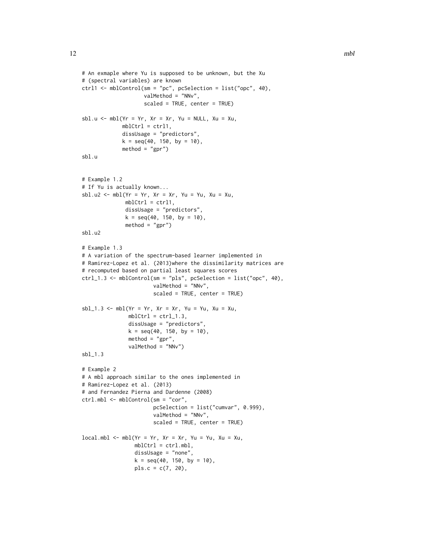```
# An exmaple where Yu is supposed to be unknown, but the Xu
# (spectral variables) are known
ctrl1 <- mblControl(sm = "pc", pcSelection = list("opc", 40),
                    valMethod = "NNv",
                    scaled = TRUE, center = TRUE)
sbl.u <- mbl(Yr = Yr, Xr = Xr, Yu = NULL, Xu = Xu,mblCtrl = ctrl1,
             dissUsage = "predictors",
             k = seq(40, 150, by = 10),
             method = "gpr")
sbl.u
# Example 1.2
# If Yu is actually known...
sbl.u2 <- mbl(Yr = Yr, Xr = Xr, Yu = Yu, Xu = Xu,mblCtrl = ctrl1,
              dissUsage = "predictors",
              k = seq(40, 150, by = 10),
              method = "gpr")sbl.u2
# Example 1.3
# A variation of the spectrum-based learner implemented in
# Ramirez-Lopez et al. (2013)where the dissimilarity matrices are
# recomputed based on partial least squares scores
ctrl_1.3 <- mblControl(sm = "pls", pcSelection = list("opc", 40),
                       valMethod = "NNv",
                       scaled = TRUE, center = TRUE)
sb1_1.3 \leq mb1(Yr = Yr, Xr = Xr, Yu = Yu, Xu = Xu,mblCtrl = \text{ctrl}.3,dissUsage = "predictors",
               k = seq(40, 150, by = 10),
               method = "gpr",valMethod = "NNv")
sbl_1.3
# Example 2
# A mbl approach similar to the ones implemented in
# Ramirez-Lopez et al. (2013)
# and Fernandez Pierna and Dardenne (2008)
ctrl.mbl <- mblControl(sm = "cor",
                       pcSelection = list("cumvar", 0.999),
                       valMethod = "NNv",
                       scaled = TRUE, center = TRUE)
local.mbl \leftarrow mbl(Yr = Yr, Xr = Xr, Yu = Yu, Xu = Xu,mblCtrl = ctrl.mbl,dissUsage = "none",
                 k = seq(40, 150, by = 10),
                 pls.c = c(7, 20),
```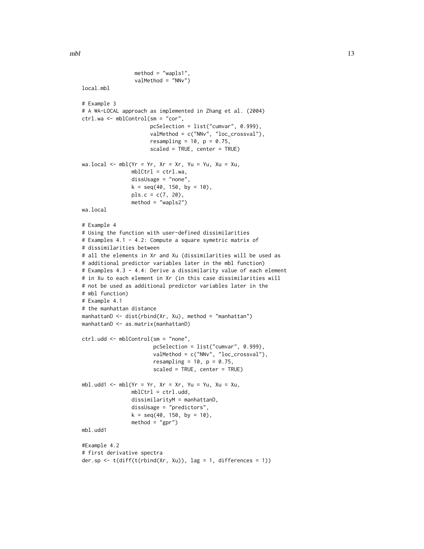```
method = "wapls1",
                 valMethod = "NNv")
local.mbl
# Example 3
# A WA-LOCAL approach as implemented in Zhang et al. (2004)
ctrl.wa <- mblControl(sm = "cor",
                      pcSelection = list("cumvar", 0.999),
                      valMethod = c("NNv", "loc_crossval"),
                      resampling = 10, p = 0.75,
                      scaled = TRUE, center = TRUE)
wa.local <- mbl(Yr = Yr, Xr = Xr, Yu = Yu, Xu = Xu,
                mblCtrl = ctrl.wa,dissUsage = "none",
                k = seq(40, 150, by = 10),
                pls.c = c(7, 20),
                method = "wapls2")
wa.local
# Example 4
# Using the function with user-defined dissimilarities
# Examples 4.1 - 4.2: Compute a square symetric matrix of
# dissimilarities between
# all the elements in Xr and Xu (dissimilarities will be used as
# additional predictor variables later in the mbl function)
# Examples 4.3 - 4.4: Derive a dissimilarity value of each element
# in Xu to each element in Xr (in this case dissimilarities will
# not be used as additional predictor variables later in the
# mbl function)
# Example 4.1
# the manhattan distance
manhattanD <- dist(rbind(Xr, Xu), method = "manhattan")
manhattanD <- as.matrix(manhattanD)
ctrl.udd <- mblControl(sm = "none",
                       pcSelection = list("cumvar", 0.999),
                       valMethod = c("NNv", "loc_crossval"),
                       resampling = 10, p = 0.75,
                       scaled = TRUE, center = TRUE)
mbl.udd1 <- mbl(Yr = Yr, Xr = Xr, Yu = Yu, Xu = Xu,
                mblCtrl = ctrl.udd,
                dissimilarityM = manhattanD,
                dissUsage = "predictors",
                k = seq(40, 150, by = 10),
                method = "gpr")mbl.udd1
#Example 4.2
# first derivative spectra
der.sp \leq t(diff(t(rbind(Xr, Xu)), lag = 1, differences = 1))
```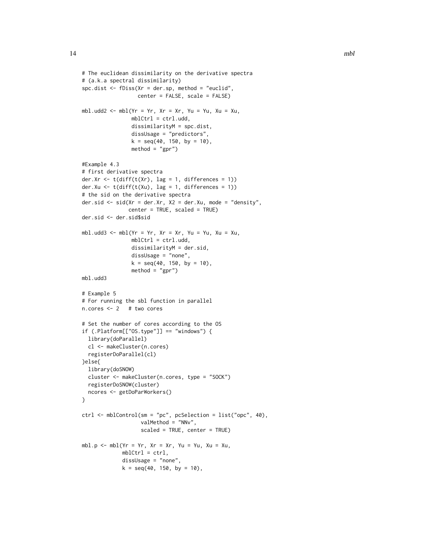```
# The euclidean dissimilarity on the derivative spectra
# (a.k.a spectral dissimilarity)
spc.dist <- fDiss(Xr = der.sp, method = "euclid",
                  center = FALSE, scale = FALSE)
mbl.udd2 <- mbl(Yr = Yr, Xr = Xr, Yu = Yu, Xu = Xu,
                mblCtrl = ctrl.udd,
                dissimilarityM = spc.dist,
                dissUsage = "predictors",
                k = seq(40, 150, by = 10),
                method = "gpr")
#Example 4.3
# first derivative spectra
der.Xr <- t(diff(t(Xr), lag = 1, differences = 1))
der.Xu <- t(diff(t(Xu), lag = 1, differences = 1))
# the sid on the derivative spectra
der.sid <- sid(Xr = der.Xr, X2 = der.Xu, mode = "density",
               center = TRUE, scaled = TRUE)
der.sid <- der.sid$sid
mbl.udd3 <- mbl(Yr = Yr, Xr = Xr, Yu = Yu, Xu = Xu,
                mblCtrl = ctrl.udd,
                dissimilarityM = der.sid,
                dissUsage = "none",
                k = seq(40, 150, by = 10),
                method = "gpr")mbl.udd3
# Example 5
# For running the sbl function in parallel
n.cores <- 2 # two cores
# Set the number of cores according to the OS
if (.Platform[["OS.type"]] == "windows") {
  library(doParallel)
 cl <- makeCluster(n.cores)
  registerDoParallel(cl)
}else{
  library(doSNOW)
  cluster <- makeCluster(n.cores, type = "SOCK")
  registerDoSNOW(cluster)
  ncores <- getDoParWorkers()
}
ctrl <- mblControl(sm = "pc", pcSelection = list("opc", 40),
                   valMethod = "NNv",
                   scaled = TRUE, center = TRUE)
mbl.p <- mbl(Yr = Yr, Xr = Xr, Yu = Yu, Xu = Xu,
             mblCtrl = ctrl,
             dissUsage = "none",
             k = seq(40, 150, by = 10),
```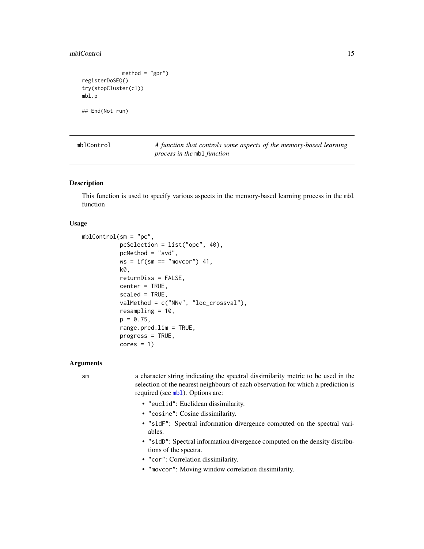#### <span id="page-14-0"></span>mblControl 15

```
method = "gpr")registerDoSEQ()
try(stopCluster(cl))
mbl.p
## End(Not run)
```
<span id="page-14-1"></span>

mblControl *A function that controls some aspects of the memory-based learning process in the* mbl *function*

#### **Description**

This function is used to specify various aspects in the memory-based learning process in the mbl function

#### Usage

```
mblControl(sm = "pc",
           pcSelection = list("opc", 40),
           pcMethod = "svd",
           ws = if(sm == "moveor") 41,
           k0,
           returnDiss = FALSE,
           center = TRUE,scaled = TRUE,
           valMethod = c("NNv", "loc_crossval"),
           resampling = 10,
           p = 0.75,
           range.pred.lim = TRUE,
           progress = TRUE,
           cores = 1)
```
#### Arguments

sm a character string indicating the spectral dissimilarity metric to be used in the selection of the nearest neighbours of each observation for which a prediction is required (see [mbl](#page-5-1)). Options are:

- "euclid": Euclidean dissimilarity.
- "cosine": Cosine dissimilarity.
- "sidF": Spectral information divergence computed on the spectral variables.
- "sidD": Spectral information divergence computed on the density distributions of the spectra.
- "cor": Correlation dissimilarity.
- "movcor": Moving window correlation dissimilarity.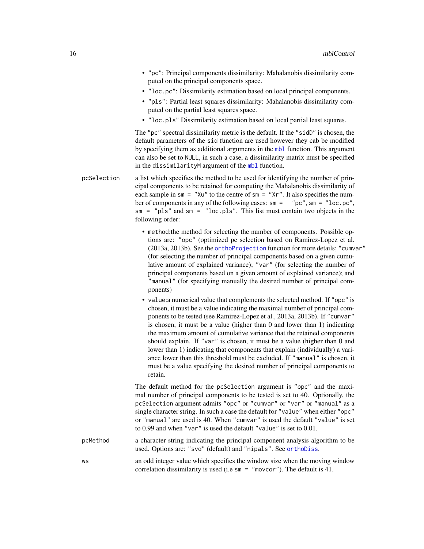- <span id="page-15-0"></span>• "pc": Principal components dissimilarity: Mahalanobis dissimilarity computed on the principal components space.
- "loc.pc": Dissimilarity estimation based on local principal components.
- "pls": Partial least squares dissimilarity: Mahalanobis dissimilarity computed on the partial least squares space.
- "loc.pls" Dissimilarity estimation based on local partial least squares.

The "pc" spectral dissimilarity metric is the default. If the "sidD" is chosen, the default parameters of the sid function are used however they cab be modified by specifying them as additional arguments in the [mbl](#page-5-1) function. This argument can also be set to NULL, in such a case, a dissimilarity matrix must be specified in the dissimilarityM argument of the [mbl](#page-5-1) function.

pcSelection a list which specifies the method to be used for identifying the number of principal components to be retained for computing the Mahalanobis dissimilarity of each sample in  $\text{sm} = "Xu"$  to the centre of  $\text{sm} = "Xr".$  It also specifies the number of components in any of the following cases: sm = "pc", sm = "loc.pc", sm = "pls" and sm = "loc.pls". This list must contain two objects in the following order:

- method:the method for selecting the number of components. Possible options are: "opc" (optimized pc selection based on Ramirez-Lopez et al. (2013a, 2013b). See the [orthoProjection](#page-26-1) function for more details; "cumvar" (for selecting the number of principal components based on a given cumulative amount of explained variance); "var" (for selecting the number of principal components based on a given amount of explained variance); and "manual" (for specifying manually the desired number of principal components)
- value:a numerical value that complements the selected method. If "opc" is chosen, it must be a value indicating the maximal number of principal components to be tested (see Ramirez-Lopez et al., 2013a, 2013b). If "cumvar" is chosen, it must be a value (higher than 0 and lower than 1) indicating the maximum amount of cumulative variance that the retained components should explain. If "var" is chosen, it must be a value (higher than 0 and lower than 1) indicating that components that explain (individually) a variance lower than this threshold must be excluded. If "manual" is chosen, it must be a value specifying the desired number of principal components to retain.

The default method for the pcSelection argument is "opc" and the maximal number of principal components to be tested is set to 40. Optionally, the pcSelection argument admits "opc" or "cumvar" or "var" or "manual" as a single character string. In such a case the default for "value" when either "opc" or "manual" are used is 40. When "cumvar" is used the default "value" is set to 0.99 and when "var" is used the default "value" is set to 0.01.

pcMethod a character string indicating the principal component analysis algorithm to be used. Options are: "svd" (default) and "nipals". See [orthoDiss](#page-23-1).

ws an odd integer value which specifies the window size when the moving window correlation dissimilarity is used (i.e sm = "movcor"). The default is 41.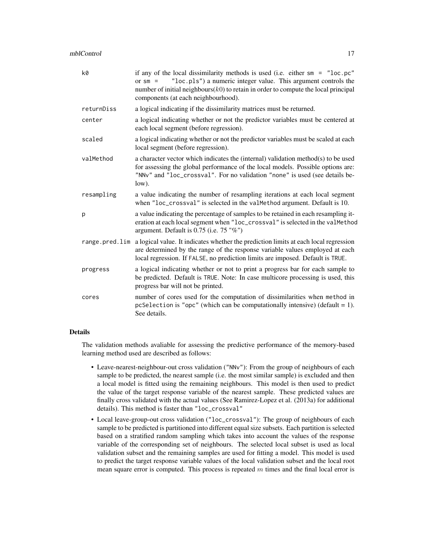| k0             | if any of the local dissimilarity methods is used (i.e. either $sm = "loc.pc"$<br>"loc.pls") a numeric integer value. This argument controls the<br>or $sm =$<br>number of initial neighbours $(k0)$ to retain in order to compute the local principal<br>components (at each neighbourhood). |
|----------------|-----------------------------------------------------------------------------------------------------------------------------------------------------------------------------------------------------------------------------------------------------------------------------------------------|
| returnDiss     | a logical indicating if the dissimilarity matrices must be returned.                                                                                                                                                                                                                          |
| center         | a logical indicating whether or not the predictor variables must be centered at<br>each local segment (before regression).                                                                                                                                                                    |
| scaled         | a logical indicating whether or not the predictor variables must be scaled at each<br>local segment (before regression).                                                                                                                                                                      |
| valMethod      | a character vector which indicates the (internal) validation method(s) to be used<br>for assessing the global performance of the local models. Possible options are:<br>"NNv" and "loc_crossval". For no validation "none" is used (see details be-<br>low).                                  |
| resampling     | a value indicating the number of resampling iterations at each local segment<br>when "loc_crossval" is selected in the valMethod argument. Default is 10.                                                                                                                                     |
| p              | a value indicating the percentage of samples to be retained in each resampling it-<br>eration at each local segment when "loc_crossval" is selected in the valMethod<br>argument. Default is $0.75$ (i.e. $75$ "%")                                                                           |
| range.pred.lim | a logical value. It indicates whether the prediction limits at each local regression<br>are determined by the range of the response variable values employed at each<br>local regression. If FALSE, no prediction limits are imposed. Default is TRUE.                                        |
| progress       | a logical indicating whether or not to print a progress bar for each sample to<br>be predicted. Default is TRUE. Note: In case multicore processing is used, this<br>progress bar will not be printed.                                                                                        |
| cores          | number of cores used for the computation of dissimilarities when method in<br>pcSelection is "opc" (which can be computationally intensive) (default = 1).<br>See details.                                                                                                                    |

#### Details

The validation methods avaliable for assessing the predictive performance of the memory-based learning method used are described as follows:

- Leave-nearest-neighbour-out cross validation ("NNv"): From the group of neighbours of each sample to be predicted, the nearest sample (i.e. the most similar sample) is excluded and then a local model is fitted using the remaining neighbours. This model is then used to predict the value of the target response variable of the nearest sample. These predicted values are finally cross validated with the actual values (See Ramirez-Lopez et al. (2013a) for additional details). This method is faster than "loc\_crossval"
- Local leave-group-out cross validation ("loc\_crossval"): The group of neighbours of each sample to be predicted is partitioned into different equal size subsets. Each partition is selected based on a stratified random sampling which takes into account the values of the response variable of the corresponding set of neighbours. The selected local subset is used as local validation subset and the remaining samples are used for fitting a model. This model is used to predict the target response variable values of the local validation subset and the local root mean square error is computed. This process is repeated  $m$  times and the final local error is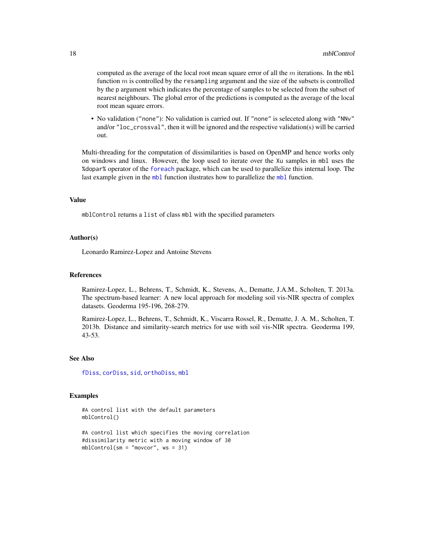<span id="page-17-0"></span>computed as the average of the local root mean square error of all the  $m$  iterations. In the mbl function  $m$  is controlled by the resampling argument and the size of the subsets is controlled by the p argument which indicates the percentage of samples to be selected from the subset of nearest neighbours. The global error of the predictions is computed as the average of the local root mean square errors.

• No validation ("none"): No validation is carried out. If "none" is seleceted along with "NNv" and/or "loc\_crossval", then it will be ignored and the respective validation(s) will be carried out.

Multi-threading for the computation of dissimilarities is based on OpenMP and hence works only on windows and linux. However, the loop used to iterate over the Xu samples in mbl uses the %dopar% operator of the [foreach](#page-0-0) package, which can be used to parallelize this internal loop. The last example given in the [mbl](#page-5-1) function ilustrates how to parallelize the mbl function.

#### Value

mblControl returns a list of class mbl with the specified parameters

#### Author(s)

Leonardo Ramirez-Lopez and Antoine Stevens

#### References

Ramirez-Lopez, L., Behrens, T., Schmidt, K., Stevens, A., Dematte, J.A.M., Scholten, T. 2013a. The spectrum-based learner: A new local approach for modeling soil vis-NIR spectra of complex datasets. Geoderma 195-196, 268-279.

Ramirez-Lopez, L., Behrens, T., Schmidt, K., Viscarra Rossel, R., Dematte, J. A. M., Scholten, T. 2013b. Distance and similarity-search metrics for use with soil vis-NIR spectra. Geoderma 199, 43-53.

#### See Also

[fDiss](#page-2-1), [corDiss](#page-1-1), [sid](#page-36-1), [orthoDiss](#page-23-1), [mbl](#page-5-1)

#### Examples

```
#A control list with the default parameters
mblControl()
```

```
#A control list which specifies the moving correlation
#dissimilarity metric with a moving window of 30
mblControl(sm = "movcor", ws = 31)
```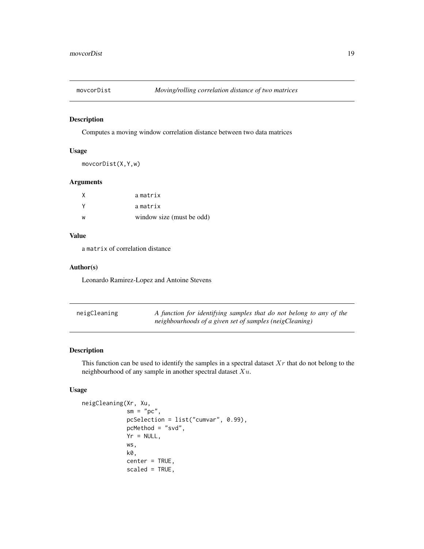<span id="page-18-0"></span>

#### Description

Computes a moving window correlation distance between two data matrices

#### Usage

```
movcorDist(X,Y,w)
```
#### Arguments

| X        | amatrix                   |
|----------|---------------------------|
| <b>V</b> | amatrix                   |
| W        | window size (must be odd) |

#### Value

a matrix of correlation distance

#### Author(s)

Leonardo Ramirez-Lopez and Antoine Stevens

<span id="page-18-1"></span>

| neigCleaning | A function for identifying samples that do not belong to any of the |
|--------------|---------------------------------------------------------------------|
|              | neighbourhoods of a given set of samples (neigCleaning)             |

#### Description

This function can be used to identify the samples in a spectral dataset  $Xr$  that do not belong to the neighbourhood of any sample in another spectral dataset  $Xu$ .

#### Usage

```
neigCleaning(Xr, Xu,
             sm = "pc",pcSelection = list("cumvar", 0.99),
             pcMethod = "svd",
             Yr = NULL,ws,
             k0,
             center = TRUE,
             scaled = TRUE,
```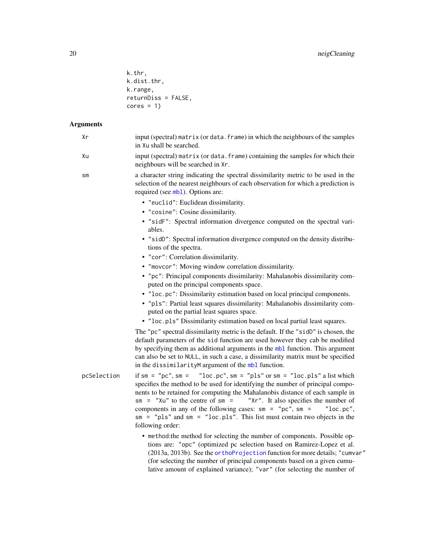<span id="page-19-0"></span>

| k.thr,              |  |
|---------------------|--|
| k.dist.thr,         |  |
| k.range,            |  |
| returnDiss = FALSE. |  |
| $cores = 1)$        |  |

## Arguments

| Хr            | input (spectral) matrix (or data. frame) in which the neighbours of the samples<br>in Xu shall be searched.                                                                                                                                                                                                                                                                                                                                                                                                                                                                                                                                                                                                                                                                                                                                                                |
|---------------|----------------------------------------------------------------------------------------------------------------------------------------------------------------------------------------------------------------------------------------------------------------------------------------------------------------------------------------------------------------------------------------------------------------------------------------------------------------------------------------------------------------------------------------------------------------------------------------------------------------------------------------------------------------------------------------------------------------------------------------------------------------------------------------------------------------------------------------------------------------------------|
| Xu            | input (spectral) matrix (or data. frame) containing the samples for which their<br>neighbours will be searched in Xr.                                                                                                                                                                                                                                                                                                                                                                                                                                                                                                                                                                                                                                                                                                                                                      |
| $\mathsf{sm}$ | a character string indicating the spectral dissimilarity metric to be used in the<br>selection of the nearest neighbours of each observation for which a prediction is<br>required (see mb1). Options are:                                                                                                                                                                                                                                                                                                                                                                                                                                                                                                                                                                                                                                                                 |
|               | • "euclid": Euclidean dissimilarity.<br>• "cosine": Cosine dissimilarity.<br>· "sidF": Spectral information divergence computed on the spectral vari-<br>ables.<br>• "sidD": Spectral information divergence computed on the density distribu-<br>tions of the spectra.<br>• "cor": Correlation dissimilarity.                                                                                                                                                                                                                                                                                                                                                                                                                                                                                                                                                             |
|               | • "movcor": Moving window correlation dissimilarity.<br>• "pc": Principal components dissimilarity: Mahalanobis dissimilarity com-<br>puted on the principal components space.<br>• "loc.pc": Dissimilarity estimation based on local principal components.<br>· "pls": Partial least squares dissimilarity: Mahalanobis dissimilarity com-<br>puted on the partial least squares space.<br>• "loc.pls" Dissimilarity estimation based on local partial least squares.<br>The "pc" spectral dissimilarity metric is the default. If the "sidD" is chosen, the<br>default parameters of the sid function are used however they cab be modified<br>by specifying them as additional arguments in the mbl function. This argument<br>can also be set to NULL, in such a case, a dissimilarity matrix must be specified<br>in the dissimilarityM argument of the mbl function. |
| pcSelection   | if $sm = "pc", sm = "loc.pc", sm = "pls" or sm = "loc.pls" a list which$<br>specifies the method to be used for identifying the number of principal compo-<br>nents to be retained for computing the Mahalanobis distance of each sample in<br>$sm = "Xu"$ to the centre of sm =<br>"Xr". It also specifies the number of<br>components in any of the following cases: $sm = "pc", sm =$<br>"loc.pc",<br>$sm = "pls"$ and $sm = "loc.pls".$ This list must contain two objects in the<br>following order:                                                                                                                                                                                                                                                                                                                                                                  |
|               | • method: the method for selecting the number of components. Possible op-<br>tions are: "opc" (optimized pc selection based on Ramirez-Lopez et al.<br>(2013a, 2013b). See the orthoProjection function for more details; "cumvar"<br>(for selecting the number of principal components based on a given cumu-                                                                                                                                                                                                                                                                                                                                                                                                                                                                                                                                                             |

lative amount of explained variance); "var" (for selecting the number of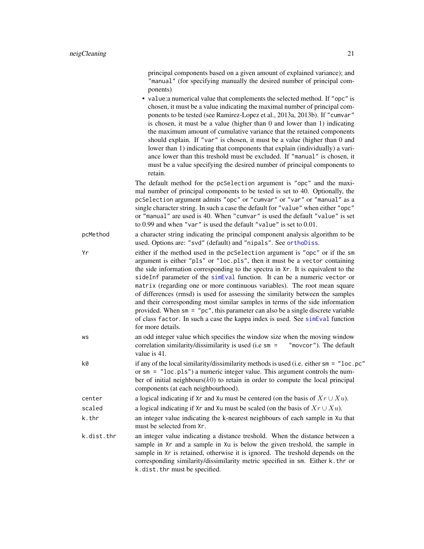<span id="page-20-0"></span>principal components based on a given amount of explained variance); and "manual" (for specifying manually the desired number of principal components)

• value:a numerical value that complements the selected method. If "opc" is chosen, it must be a value indicating the maximal number of principal components to be tested (see Ramirez-Lopez et al., 2013a, 2013b). If "cumvar" is chosen, it must be a value (higher than 0 and lower than 1) indicating the maximum amount of cumulative variance that the retained components should explain. If "var" is chosen, it must be a value (higher than 0 and lower than 1) indicating that components that explain (individually) a variance lower than this treshold must be excluded. If "manual" is chosen, it must be a value specifying the desired number of principal components to retain.

The default method for the pcSelection argument is "opc" and the maximal number of principal components to be tested is set to 40. Optionally, the pcSelection argument admits "opc" or "cumvar" or "var" or "manual" as a single character string. In such a case the default for "value" when either "opc" or "manual" are used is 40. When "cumvar" is used the default "value" is set to 0.99 and when "var" is used the default "value" is set to 0.01.

pcMethod a character string indicating the principal component analysis algorithm to be used. Options are: "svd" (default) and "nipals". See [orthoDiss](#page-23-1).

Yr either if the method used in the pcSelection argument is "opc" or if the sm argument is either "pls" or "loc.pls", then it must be a vector containing the side information corresponding to the spectra in Xr. It is equivalent to the sideInf parameter of the [simEval](#page-39-1) function. It can be a numeric vector or matrix (regarding one or more continuous variables). The root mean square of differences (rmsd) is used for assessing the similarity between the samples and their corresponding most similar samples in terms of the side information provided. When sm = "pc", this parameter can also be a single discrete variable of class factor. In such a case the kappa index is used. See [simEval](#page-39-1) function for more details.

- ws an odd integer value which specifies the window size when the moving window correlation similarity/dissimilarity is used (i.e sm = "movcor"). The default value is 41.
- $k\theta$  if any of the local similarity/dissimilarity methods is used (i.e. either sm = "loc.pc" or sm = "loc.pls") a numeric integer value. This argument controls the number of initial neighbours $(k0)$  to retain in order to compute the local principal components (at each neighbourhood). center a logical indicating if Xr and Xu must be centered (on the basis of  $Xr \cup Xu$ ).
- scaled a logical indicating if Xr and Xu must be scaled (on the basis of  $Xr \cup Xu$ ).
- k.thr an integer value indicating the k-nearest neighbours of each sample in Xu that must be selected from Xr.
- k.dist.thr an integer value indicating a distance treshold. When the distance between a sample in Xr and a sample in Xu is below the given treshold, the sample in sample in Xr is retained, otherwise it is ignored. The treshold depends on the corresponding similarity/dissimilarity metric specified in sm. Either k.thr or k.dist.thr must be specified.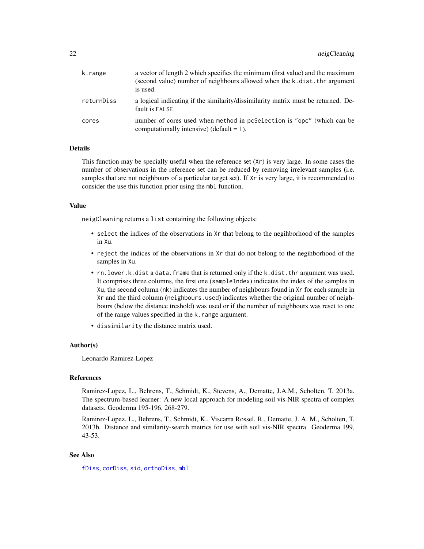<span id="page-21-0"></span>

| k.range    | a vector of length 2 which specifies the minimum (first value) and the maximum<br>(second value) number of neighbours allowed when the k, dist, thr argument<br>is used. |
|------------|--------------------------------------------------------------------------------------------------------------------------------------------------------------------------|
| returnDiss | a logical indicating if the similarity/dissimilarity matrix must be returned. De-<br>fault is FALSE.                                                                     |
| cores      | number of cores used when method in pcSelection is "opc" (which can be<br>computationally intensive) (default = 1).                                                      |

#### Details

This function may be specially useful when the reference set  $(Xr)$  is very large. In some cases the number of observations in the reference set can be reduced by removing irrelevant samples (i.e. samples that are not neighbours of a particular target set). If Xr is very large, it is recommended to consider the use this function prior using the mbl function.

#### Value

neigCleaning returns a list containing the following objects:

- select the indices of the observations in Xr that belong to the negihborhood of the samples in Xu.
- reject the indices of the observations in Xr that do not belong to the negihborhood of the samples in Xu.
- rn.lower.k.dist a data.frame that is returned only if the k.dist.thr argument was used. It comprises three columns, the first one (sampleIndex) indicates the index of the samples in Xu, the second column (nk) indicates the number of neighbours found in Xr for each sample in Xr and the third column (neighbours.used) indicates whether the original number of neighbours (below the distance treshold) was used or if the number of neighbours was reset to one of the range values specified in the k.range argument.
- dissimilarity the distance matrix used.

#### Author(s)

Leonardo Ramirez-Lopez

#### References

Ramirez-Lopez, L., Behrens, T., Schmidt, K., Stevens, A., Dematte, J.A.M., Scholten, T. 2013a. The spectrum-based learner: A new local approach for modeling soil vis-NIR spectra of complex datasets. Geoderma 195-196, 268-279.

Ramirez-Lopez, L., Behrens, T., Schmidt, K., Viscarra Rossel, R., Dematte, J. A. M., Scholten, T. 2013b. Distance and similarity-search metrics for use with soil vis-NIR spectra. Geoderma 199, 43-53.

#### See Also

[fDiss](#page-2-1), [corDiss](#page-1-1), [sid](#page-36-1), [orthoDiss](#page-23-1), [mbl](#page-5-1)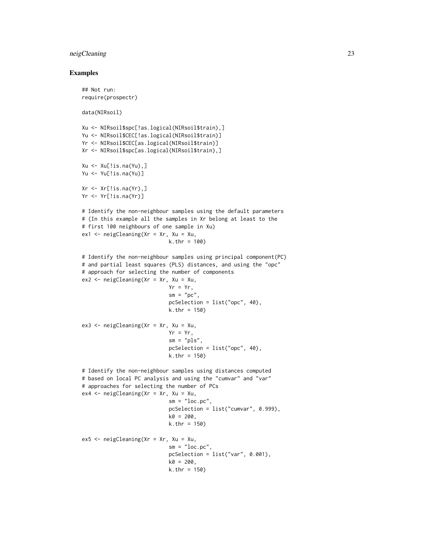#### neigCleaning 23

#### Examples

```
## Not run:
require(prospectr)
data(NIRsoil)
Xu <- NIRsoil$spc[!as.logical(NIRsoil$train),]
Yu <- NIRsoil$CEC[!as.logical(NIRsoil$train)]
Yr <- NIRsoil$CEC[as.logical(NIRsoil$train)]
Xr <- NIRsoil$spc[as.logical(NIRsoil$train),]
Xu <- Xu[!is.na(Yu),]
Yu <- Yu[!is.na(Yu)]
Xr \leq Xr[!is.na(Yr),]
Yr <- Yr[!is.na(Yr)]
# Identify the non-neighbour samples using the default parameters
# (In this example all the samples in Xr belong at least to the
# first 100 neighbours of one sample in Xu)
ex1 < - neigCleaning(Xr = Xr, Xu = Xu,
                            k.thr = 100)
# Identify the non-neighbour samples using principal component(PC)
# and partial least squares (PLS) distances, and using the "opc"
# approach for selecting the number of components
ex2 < - neigCleaning(Xr = Xr, Xu = Xu,
                            Yr = Yr,
                            sm = "pc",pcSelection = list("opc", 40),
                            k.thr = 150)
ex3 <- neigCleaning(Xr = Xr, Xu = Xu,
                            Yr = Yr,
                            sm = "pls",pcSelection = list("opc", 40),
                            k.thr = 150)
# Identify the non-neighbour samples using distances computed
# based on local PC analysis and using the "cumvar" and "var"
# approaches for selecting the number of PCs
ex4 \leq neigCleaning(Xr = Xr, Xu = Xu,sm = "loc.pc",pcSelection = list("cumvar", 0.999),
                            k0 = 200,
                            k.thr = 150)
ex5 <- neigCleaning(Xr = Xr, Xu = Xu,
                            sm = "loc.pc",pcSelection = list("var", 0.001),
                            k0 = 200,
                            k.thr = 150)
```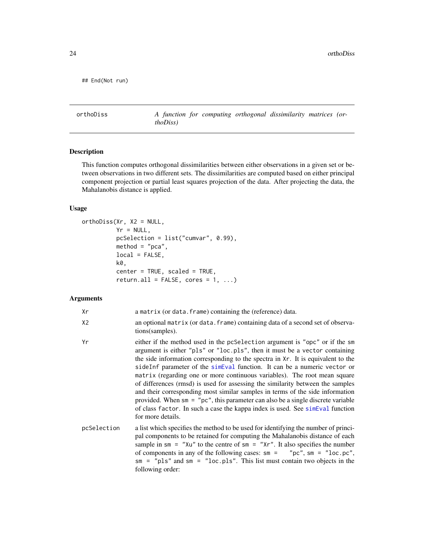```
## End(Not run)
```
<span id="page-23-1"></span>orthoDiss *A function for computing orthogonal dissimilarity matrices (orthoDiss)*

#### Description

This function computes orthogonal dissimilarities between either observations in a given set or between observations in two different sets. The dissimilarities are computed based on either principal component projection or partial least squares projection of the data. After projecting the data, the Mahalanobis distance is applied.

#### Usage

```
orthoDiss(Xr, X2 = NULL,
          Yr = NULL,pcSelection = list("cumvar", 0.99),
          method = "pca",local = FALSE,k0,
          center = TRUE, scaled = TRUE,
          return.all = FALSE, cores = 1, ...)
```
#### Arguments

| Xr             | a matrix (or data. frame) containing the (reference) data.                                                                                                                                                                                                                                                                                                                                                                                                                                                                                                                                                                                                                                                                                                                               |
|----------------|------------------------------------------------------------------------------------------------------------------------------------------------------------------------------------------------------------------------------------------------------------------------------------------------------------------------------------------------------------------------------------------------------------------------------------------------------------------------------------------------------------------------------------------------------------------------------------------------------------------------------------------------------------------------------------------------------------------------------------------------------------------------------------------|
| X <sub>2</sub> | an optional matrix (or data. frame) containing data of a second set of observa-<br>tions (samples).                                                                                                                                                                                                                                                                                                                                                                                                                                                                                                                                                                                                                                                                                      |
| Yr             | either if the method used in the pcSelection argument is "opc" or if the sm<br>argument is either "pls" or "loc.pls", then it must be a vector containing<br>the side information corresponding to the spectra in Xr. It is equivalent to the<br>sideInf parameter of the simEval function. It can be a numeric vector or<br>matrix (regarding one or more continuous variables). The root mean square<br>of differences (rmsd) is used for assessing the similarity between the samples<br>and their corresponding most similar samples in terms of the side information<br>provided. When $\mathsf{sm} = \mathsf{''pc}$ ", this parameter can also be a single discrete variable<br>of class factor. In such a case the kappa index is used. See simeval function<br>for more details. |
| pcSelection    | a list which specifies the method to be used for identifying the number of princi-<br>pal components to be retained for computing the Mahalanobis distance of each<br>sample in $\sin =$ "Xu" to the centre of $\sin =$ "Xr". It also specifies the number<br>of components in any of the following cases: $sm =$ "pc", $sm =$ "loc.pc",<br>$sm = "pls"$ and $sm = "loc.pls".$ This list must contain two objects in the<br>following order:                                                                                                                                                                                                                                                                                                                                             |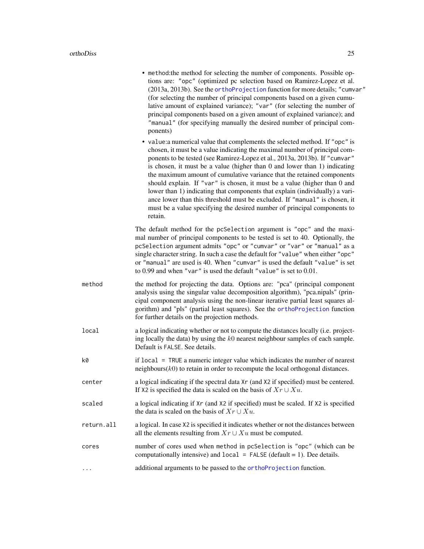<span id="page-24-0"></span>

|            | • method:the method for selecting the number of components. Possible op-<br>tions are: "opc" (optimized pc selection based on Ramirez-Lopez et al.<br>(2013a, 2013b). See the orthoProjection function for more details; "cumvar"<br>(for selecting the number of principal components based on a given cumu-<br>lative amount of explained variance); "var" (for selecting the number of<br>principal components based on a given amount of explained variance); and<br>"manual" (for specifying manually the desired number of principal com-<br>ponents)                                                                                                                                                                      |
|------------|----------------------------------------------------------------------------------------------------------------------------------------------------------------------------------------------------------------------------------------------------------------------------------------------------------------------------------------------------------------------------------------------------------------------------------------------------------------------------------------------------------------------------------------------------------------------------------------------------------------------------------------------------------------------------------------------------------------------------------|
|            | • value:a numerical value that complements the selected method. If "opc" is<br>chosen, it must be a value indicating the maximal number of principal com-<br>ponents to be tested (see Ramirez-Lopez et al., 2013a, 2013b). If "cumvar"<br>is chosen, it must be a value (higher than 0 and lower than 1) indicating<br>the maximum amount of cumulative variance that the retained components<br>should explain. If "var" is chosen, it must be a value (higher than 0 and<br>lower than 1) indicating that components that explain (individually) a vari-<br>ance lower than this threshold must be excluded. If "manual" is chosen, it<br>must be a value specifying the desired number of principal components to<br>retain. |
|            | The default method for the pcSelection argument is "opc" and the maxi-<br>mal number of principal components to be tested is set to 40. Optionally, the<br>pcSelection argument admits "opc" or "cumvar" or "var" or "manual" as a<br>single character string. In such a case the default for "value" when either "opc"<br>or "manual" are used is 40. When "cumvar" is used the default "value" is set<br>to 0.99 and when "var" is used the default "value" is set to 0.01.                                                                                                                                                                                                                                                    |
| method     | the method for projecting the data. Options are: "pca" (principal component<br>analysis using the singular value decomposition algorithm), "pca.nipals" (prin-<br>cipal component analysis using the non-linear iterative partial least squares al-<br>gorithm) and "pls" (partial least squares). See the orthoProjection function<br>for further details on the projection methods.                                                                                                                                                                                                                                                                                                                                            |
| local      | a logical indicating whether or not to compute the distances locally (i.e. project-<br>ing locally the data) by using the $k0$ nearest neighbour samples of each sample.<br>Default is FALSE. See details.                                                                                                                                                                                                                                                                                                                                                                                                                                                                                                                       |
| k0         | if local = TRUE a numeric integer value which indicates the number of nearest<br>$neighbours(k0)$ to retain in order to recompute the local orthogonal distances.                                                                                                                                                                                                                                                                                                                                                                                                                                                                                                                                                                |
| center     | a logical indicating if the spectral data Xr (and X2 if specified) must be centered.<br>If X2 is specified the data is scaled on the basis of $Xr \cup Xu$ .                                                                                                                                                                                                                                                                                                                                                                                                                                                                                                                                                                     |
| scaled     | a logical indicating if Xr (and X2 if specified) must be scaled. If X2 is specified<br>the data is scaled on the basis of $Xr \cup Xu$ .                                                                                                                                                                                                                                                                                                                                                                                                                                                                                                                                                                                         |
| return.all | a logical. In case X2 is specified it indicates whether or not the distances between<br>all the elements resulting from $Xr \cup Xu$ must be computed.                                                                                                                                                                                                                                                                                                                                                                                                                                                                                                                                                                           |
| cores      | number of cores used when method in pcSelection is "opc" (which can be<br>computationally intensive) and $local = FALSE$ (default = 1). Dee details.                                                                                                                                                                                                                                                                                                                                                                                                                                                                                                                                                                             |
| $\cdots$   | additional arguments to be passed to the orthoProjection function.                                                                                                                                                                                                                                                                                                                                                                                                                                                                                                                                                                                                                                                               |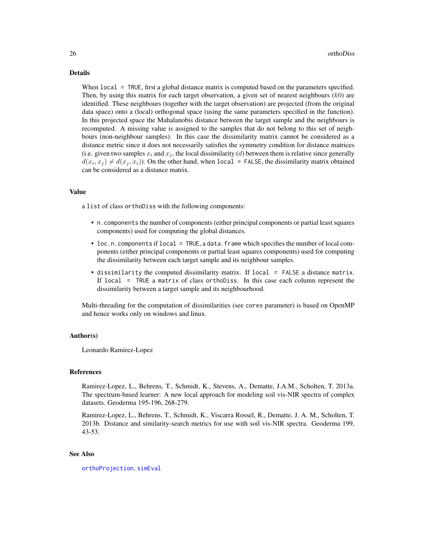#### <span id="page-25-0"></span>Details

When local = TRUE, first a global distance matrix is computed based on the parameters specified. Then, by using this matrix for each target observation, a given set of nearest neighbours  $(k0)$  are identified. These neighbours (together with the target observation) are projected (from the original data space) onto a (local) orthogonal space (using the same parameters specified in the function). In this projected space the Mahalanobis distance between the target sample and the neighbours is recomputed. A missing value is assigned to the samples that do not belong to this set of neighbours (non-neighbour samples). In this case the dissimilarity matrix cannot be considered as a distance metric since it does not necessarily satisfies the symmetry condition for distance matrices (i.e. given two samples  $x_i$  and  $x_j$ , the local dissimilarity (d) between them is relative since generally  $d(x_i, x_j) \neq d(x_j, x_i)$ ). On the other hand, when local = FALSE, the dissimilarity matrix obtained can be considered as a distance matrix.

#### Value

a list of class orthoDiss with the following components:

- n.components the number of components (either principal components or partial least squares components) used for computing the global distances.
- loc.n.components if local = TRUE, a data. frame which specifies the number of local components (either principal components or partial least squares components) used for computing the dissimilarity between each target sample and its neighbour samples.
- dissimilarity the computed dissimilarity matrix. If local = FALSE a distance matrix. If local = TRUE a matrix of class orthoDiss. In this case each column represent the dissimilarity between a target sample and its neighbourhood.

Multi-threading for the computation of dissimilarities (see cores parameter) is based on OpenMP and hence works only on windows and linux.

#### Author(s)

Leonardo Ramirez-Lopez

#### References

Ramirez-Lopez, L., Behrens, T., Schmidt, K., Stevens, A., Dematte, J.A.M., Scholten, T. 2013a. The spectrum-based learner: A new local approach for modeling soil vis-NIR spectra of complex datasets. Geoderma 195-196, 268-279.

Ramirez-Lopez, L., Behrens, T., Schmidt, K., Viscarra Rossel, R., Dematte, J. A. M., Scholten, T. 2013b. Distance and similarity-search metrics for use with soil vis-NIR spectra. Geoderma 199, 43-53.

#### See Also

[orthoProjection](#page-26-1), [simEval](#page-39-1)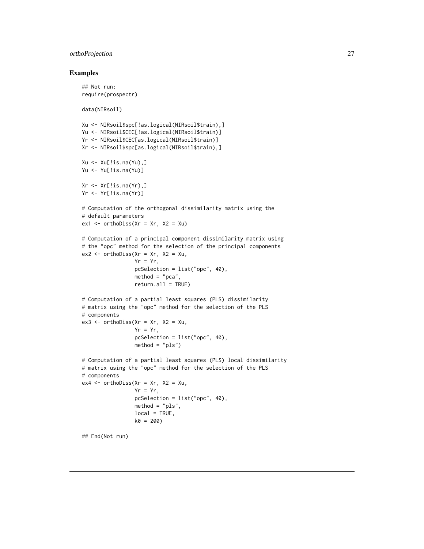#### <span id="page-26-0"></span>orthoProjection 27

#### Examples

```
## Not run:
require(prospectr)
data(NIRsoil)
Xu <- NIRsoil$spc[!as.logical(NIRsoil$train),]
Yu <- NIRsoil$CEC[!as.logical(NIRsoil$train)]
Yr <- NIRsoil$CEC[as.logical(NIRsoil$train)]
Xr <- NIRsoil$spc[as.logical(NIRsoil$train),]
Xu \leftarrow Xu[!is.na(Yu),]Yu <- Yu[!is.na(Yu)]
Xr \leftarrow Xr[!is.na(Yr),]Yr <- Yr[!is.na(Yr)]
# Computation of the orthogonal dissimilarity matrix using the
# default parameters
ex1 < -ortholiss(Xr = Xr, X2 = Xu)# Computation of a principal component dissimilarity matrix using
# the "opc" method for the selection of the principal components
ex2 < - orthoDiss(Xr = xr, X2 = Xu,
                 Yr = Yr,
                 pcSelection = list("opc", 40),
                 method = "pca",return.all = TRUE)
# Computation of a partial least squares (PLS) dissimilarity
# matrix using the "opc" method for the selection of the PLS
# components
ex3 \le orthoDiss(Xr = xr, X2 = Xu,
                 Yr = Yr,
                 pcSelection = list("opc", 40),
                 method = "pls")
# Computation of a partial least squares (PLS) local dissimilarity
# matrix using the "opc" method for the selection of the PLS
# components
ex4 \le orthoDiss(Xr = Xr, X2 = Xu,
                 Yr = Yr,
                 pcSelection = list("opc", 40),
                 method = "pls",local = TRUE,k0 = 200## End(Not run)
```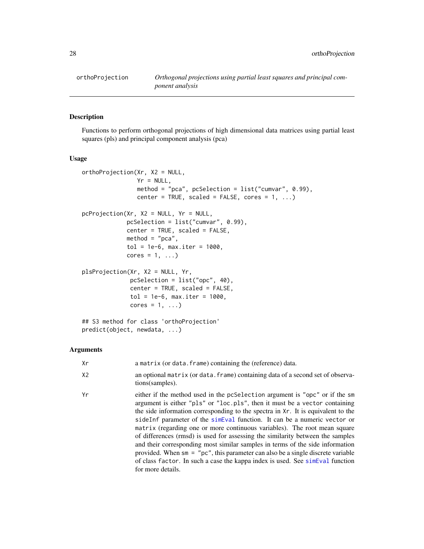<span id="page-27-1"></span>

#### <span id="page-27-0"></span>Description

Functions to perform orthogonal projections of high dimensional data matrices using partial least squares (pls) and principal component analysis (pca)

#### Usage

```
orthoProjection(Xr, X2 = NULL,
                Yr = NULL,method = "pca", pcSelection = list("cumvar", 0.99),
                center = TRUE, scaled = FALSE, cores = 1, ...)
pcProjection(Xr, X2 = NULL, Yr = NULL,
             pcSelection = list("cumvar", 0.99),
             center = TRUE, scaled = FALSE,
             method = "pca",tol = 1e-6, max.iter = 1000,
             cores = 1, ...)
plsProjection(Xr, X2 = NULL, Yr,
              pcSelection = list("opc", 40),
              center = TRUE, scaled = FALSE,
              tol = 1e-6, max.iter = 1000,
              cores = 1, \ldots)
## S3 method for class 'orthoProjection'
```
#### Arguments

predict(object, newdata, ...)

| Xr             | a matrix (or data. frame) containing the (reference) data.                                                                                                                                                                                                                                                                                                                                                                                                                                                                                                                                                                                                                                                                                                           |
|----------------|----------------------------------------------------------------------------------------------------------------------------------------------------------------------------------------------------------------------------------------------------------------------------------------------------------------------------------------------------------------------------------------------------------------------------------------------------------------------------------------------------------------------------------------------------------------------------------------------------------------------------------------------------------------------------------------------------------------------------------------------------------------------|
| X <sub>2</sub> | an optional matrix (or data. frame) containing data of a second set of observa-<br>tions (samples).                                                                                                                                                                                                                                                                                                                                                                                                                                                                                                                                                                                                                                                                  |
| Yr             | either if the method used in the pcSelection argument is "opc" or if the sm<br>argument is either "pls" or "loc.pls", then it must be a vector containing<br>the side information corresponding to the spectra in Xr. It is equivalent to the<br>sideInf parameter of the simEval function. It can be a numeric vector or<br>matrix (regarding one or more continuous variables). The root mean square<br>of differences (rmsd) is used for assessing the similarity between the samples<br>and their corresponding most similar samples in terms of the side information<br>provided. When $sm = "pc", this parameter can also be a single discrete variable$<br>of class factor. In such a case the kappa index is used. See simEval function<br>for more details. |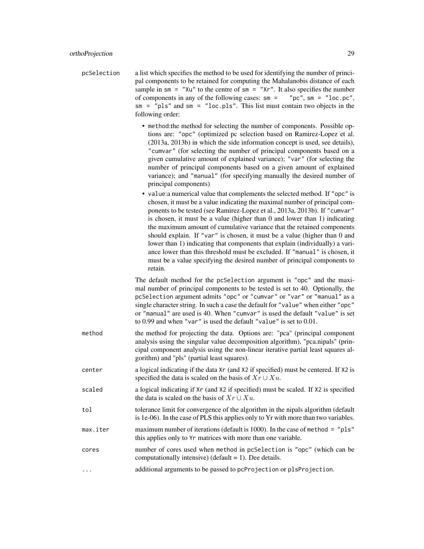- pcSelection a list which specifies the method to be used for identifying the number of principal components to be retained for computing the Mahalanobis distance of each sample in  $\sin =$  "Xu" to the centre of  $\sin =$  "Xr". It also specifies the number of components in any of the following cases:  $\text{sm} = \text{''pc}$ ,  $\text{sm} = \text{''loc.pc}$ , sm = "pls" and sm = "loc.pls". This list must contain two objects in the following order:
	- method:the method for selecting the number of components. Possible options are: "opc" (optimized pc selection based on Ramirez-Lopez et al. (2013a, 2013b) in which the side information concept is used, see details), "cumvar" (for selecting the number of principal components based on a given cumulative amount of explained variance); "var" (for selecting the number of principal components based on a given amount of explained variance); and "manual" (for specifying manually the desired number of principal components)
	- value:a numerical value that complements the selected method. If "opc" is chosen, it must be a value indicating the maximal number of principal components to be tested (see Ramirez-Lopez et al., 2013a, 2013b). If "cumvar" is chosen, it must be a value (higher than 0 and lower than 1) indicating the maximum amount of cumulative variance that the retained components should explain. If "var" is chosen, it must be a value (higher than 0 and lower than 1) indicating that components that explain (individually) a variance lower than this threshold must be excluded. If "manual" is chosen, it must be a value specifying the desired number of principal components to retain.

The default method for the pcSelection argument is "opc" and the maximal number of principal components to be tested is set to 40. Optionally, the pcSelection argument admits "opc" or "cumvar" or "var" or "manual" as a single character string. In such a case the default for "value" when either "opc" or "manual" are used is 40. When "cumvar" is used the default "value" is set to 0.99 and when "var" is used the default "value" is set to 0.01.

- method the method for projecting the data. Options are: "pca" (principal component analysis using the singular value decomposition algorithm), "pca.nipals" (principal component analysis using the non-linear iterative partial least squares algorithm) and "pls" (partial least squares).
- center a logical indicating if the data Xr (and X2 if specified) must be centered. If X2 is specified the data is scaled on the basis of  $Xr \cup Xu$ .
- scaled a logical indicating if  $Xr$  (and X2 if specified) must be scaled. If X2 is specified the data is scaled on the basis of  $Xr \cup Xu$ .
- tol tolerance limit for convergence of the algorithm in the nipals algorithm (default is 1e-06). In the case of PLS this applies only to Yr with more than two variables.
- max.iter maximum number of iterations (default is 1000). In the case of method = "pls" this applies only to Yr matrices with more than one variable.
- cores number of cores used when method in pcSelection is "opc" (which can be computationally intensive) (default  $= 1$ ). Dee details.
- ... additional arguments to be passed to pcProjection or plsProjection.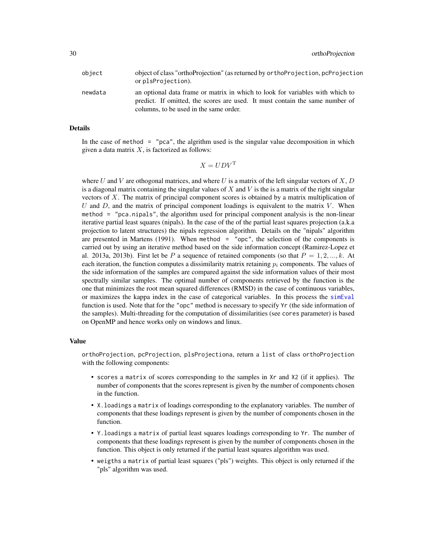<span id="page-29-0"></span>

| object  | object of class "orthoProjection" (as returned by orthoProjection, pcProjection<br>or plsProjection).                                                                                                   |
|---------|---------------------------------------------------------------------------------------------------------------------------------------------------------------------------------------------------------|
| newdata | an optional data frame or matrix in which to look for variables with which to<br>predict. If omitted, the scores are used. It must contain the same number of<br>columns, to be used in the same order. |

#### Details

In the case of method  $=$  "pca", the algrithm used is the singular value decomposition in which given a data matrix  $X$ , is factorized as follows:

$$
X = UDV^{\mathrm{T}}
$$

where U and V are othogonal matrices, and where U is a matrix of the left singular vectors of X, D is a diagonal matrix containing the singular values of  $X$  and  $V$  is the is a matrix of the right singular vectors of  $X$ . The matrix of principal component scores is obtained by a matrix multiplication of U and  $D$ , and the matrix of principal component loadings is equivalent to the matrix  $V$ . When method = "pca.nipals", the algorithm used for principal component analysis is the non-linear iterative partial least squares (nipals). In the case of the of the partial least squares projection (a.k.a projection to latent structures) the nipals regression algorithm. Details on the "nipals" algorithm are presented in Martens  $(1991)$ . When method = "opc", the selection of the components is carried out by using an iterative method based on the side information concept (Ramirez-Lopez et al. 2013a, 2013b). First let be P a sequence of retained components (so that  $P = 1, 2, ..., k$ . At each iteration, the function computes a dissimilarity matrix retaining  $p_i$  components. The values of the side information of the samples are compared against the side information values of their most spectrally similar samples. The optimal number of components retrieved by the function is the one that minimizes the root mean squared differences (RMSD) in the case of continuous variables, or maximizes the kappa index in the case of categorical variables. In this process the [simEval](#page-39-1) function is used. Note that for the "opc" method is necessary to specify Yr (the side information of the samples). Multi-threading for the computation of dissimilarities (see cores parameter) is based on OpenMP and hence works only on windows and linux.

#### Value

orthoProjection, pcProjection, plsProjectiona, return a list of class orthoProjection with the following components:

- scores a matrix of scores corresponding to the samples in Xr and X2 (if it applies). The number of components that the scores represent is given by the number of components chosen in the function.
- X.loadings a matrix of loadings corresponding to the explanatory variables. The number of components that these loadings represent is given by the number of components chosen in the function.
- Y.loadings a matrix of partial least squares loadings corresponding to Yr. The number of components that these loadings represent is given by the number of components chosen in the function. This object is only returned if the partial least squares algorithm was used.
- weigths a matrix of partial least squares ("pls") weights. This object is only returned if the "pls" algorithm was used.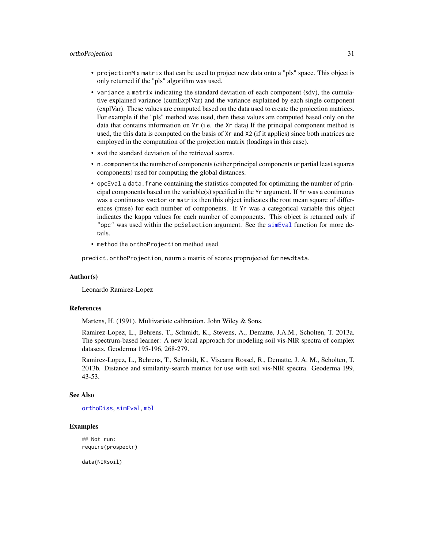#### <span id="page-30-0"></span>orthoProjection 31

- projectionM a matrix that can be used to project new data onto a "pls" space. This object is only returned if the "pls" algorithm was used.
- variance a matrix indicating the standard deviation of each component (sdv), the cumulative explained variance (cumExplVar) and the variance explained by each single component (explVar). These values are computed based on the data used to create the projection matrices. For example if the "pls" method was used, then these values are computed based only on the data that contains information on Yr (i.e. the Xr data) If the principal component method is used, the this data is computed on the basis of Xr and X2 (if it applies) since both matrices are employed in the computation of the projection matrix (loadings in this case).
- svd the standard deviation of the retrieved scores.
- n.components the number of components (either principal components or partial least squares components) used for computing the global distances.
- opcEval a data.frame containing the statistics computed for optimizing the number of principal components based on the variable(s) specified in the  $Yr$  argument. If  $Yr$  was a continuous was a continuous vector or matrix then this object indicates the root mean square of differences (rmse) for each number of components. If Yr was a categorical variable this object indicates the kappa values for each number of components. This object is returned only if "opc" was used within the pcSelection argument. See the [simEval](#page-39-1) function for more details.
- method the orthoProjection method used.

predict.orthoProjection, return a matrix of scores proprojected for newdtata.

#### Author(s)

Leonardo Ramirez-Lopez

#### References

Martens, H. (1991). Multivariate calibration. John Wiley & Sons.

Ramirez-Lopez, L., Behrens, T., Schmidt, K., Stevens, A., Dematte, J.A.M., Scholten, T. 2013a. The spectrum-based learner: A new local approach for modeling soil vis-NIR spectra of complex datasets. Geoderma 195-196, 268-279.

Ramirez-Lopez, L., Behrens, T., Schmidt, K., Viscarra Rossel, R., Dematte, J. A. M., Scholten, T. 2013b. Distance and similarity-search metrics for use with soil vis-NIR spectra. Geoderma 199, 43-53.

#### See Also

[orthoDiss](#page-23-1), [simEval](#page-39-1), [mbl](#page-5-1)

#### Examples

## Not run: require(prospectr)

data(NIRsoil)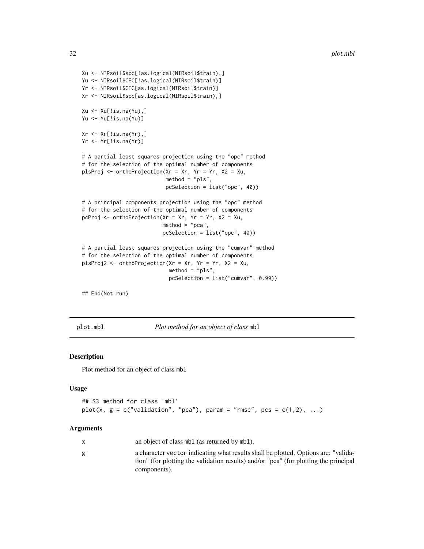Xu <- NIRsoil\$spc[!as.logical(NIRsoil\$train),] Yu <- NIRsoil\$CEC[!as.logical(NIRsoil\$train)] Yr <- NIRsoil\$CEC[as.logical(NIRsoil\$train)] Xr <- NIRsoil\$spc[as.logical(NIRsoil\$train),]  $Xu \leftarrow Xu[!is.na(Yu),]$ Yu <- Yu[!is.na(Yu)]  $Xr \leftarrow Xr[!is.na(Yr),]$ Yr <- Yr[!is.na(Yr)] # A partial least squares projection using the "opc" method # for the selection of the optimal number of components plsProj <- orthoProjection(Xr = Xr, Yr = Yr, X2 = Xu, method = "pls", pcSelection = list("opc", 40)) # A principal components projection using the "opc" method # for the selection of the optimal number of components pcProj <- orthoProjection( $Xr = xr$ ,  $Yr = Yr$ ,  $X2 = Xu$ ,  $method = "pca",$ pcSelection = list("opc", 40)) # A partial least squares projection using the "cumvar" method # for the selection of the optimal number of components plsProj2 <- orthoProjection(Xr = Xr, Yr = Yr, X2 = Xu,  $method = "pls",$ pcSelection = list("cumvar", 0.99)) ## End(Not run)

<span id="page-31-1"></span>

plot.mbl *Plot method for an object of class* mbl

#### Description

Plot method for an object of class mbl

#### Usage

```
## S3 method for class 'mbl'
plot(x, g = c("validation", "pca"), param = "rmse", pcs = c(1,2), ...)
```
#### Arguments

| X | an object of class mbl (as returned by mbl).                                                                                                                                               |
|---|--------------------------------------------------------------------------------------------------------------------------------------------------------------------------------------------|
| g | a character vector indicating what results shall be plotted. Options are: "valida-<br>tion" (for plotting the validation results) and/or "pca" (for plotting the principal<br>components). |

<span id="page-31-0"></span>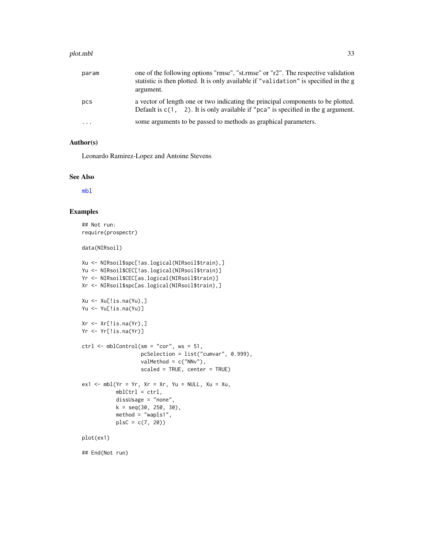#### <span id="page-32-0"></span>plot.mbl 33

| param     | one of the following options "rmse", "st.rmse" or "r2". The respective validation<br>statistic is then plotted. It is only available if "validation" is specified in the g<br>argument. |
|-----------|-----------------------------------------------------------------------------------------------------------------------------------------------------------------------------------------|
| pcs       | a vector of length one or two indicating the principal components to be plotted.<br>Default is $c(1, 2)$ . It is only available if "pca" is specified in the g argument.                |
| $\ddotsc$ | some arguments to be passed to methods as graphical parameters.                                                                                                                         |

#### Author(s)

Leonardo Ramirez-Lopez and Antoine Stevens

#### See Also

[mbl](#page-5-1)

#### Examples

## Not run: require(prospectr)

data(NIRsoil)

```
Xu <- NIRsoil$spc[!as.logical(NIRsoil$train),]
Yu <- NIRsoil$CEC[!as.logical(NIRsoil$train)]
Yr <- NIRsoil$CEC[as.logical(NIRsoil$train)]
Xr <- NIRsoil$spc[as.logical(NIRsoil$train),]
Xu <- Xu[!is.na(Yu),]
Yu <- Yu[!is.na(Yu)]
Xr \leftarrow Xr[!is.na(Yr),]Yr <- Yr[!is.na(Yr)]
ctrl <- mblControl(sm = "cor", ws = 51,
                   pcSelection = list("cumvar", 0.999),
                   valMethod = c("NNv"),
                   scaled = TRUE, center = TRUE)
ex1 \leq-mbl(Yr = Yr, \ Yr = Xr, \ Yu = NULL, \ Xu = Xu,mblCtrl = ctrl,
           dissUsage = "none",
           k = seq(30, 250, 30),
           method = "wapls1",
           plsC = c(7, 20)plot(ex1)
```
## End(Not run)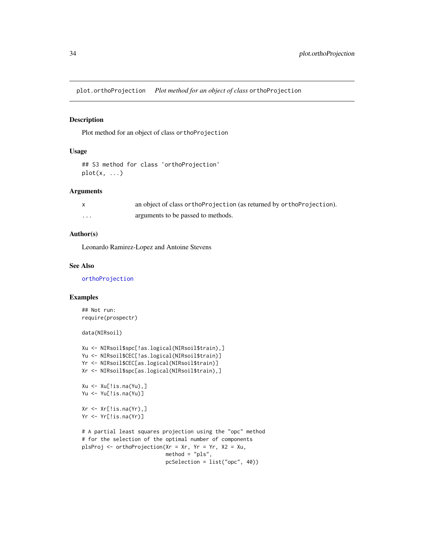<span id="page-33-1"></span><span id="page-33-0"></span>plot.orthoProjection *Plot method for an object of class* orthoProjection

#### Description

Plot method for an object of class orthoProjection

#### Usage

```
## S3 method for class 'orthoProjection'
plot(x, \ldots)
```
#### Arguments

|                         | an object of class ortho Projection (as returned by ortho Projection). |
|-------------------------|------------------------------------------------------------------------|
| $\cdot$ $\cdot$ $\cdot$ | arguments to be passed to methods.                                     |

#### Author(s)

Leonardo Ramirez-Lopez and Antoine Stevens

#### See Also

[orthoProjection](#page-26-1)

#### Examples

```
## Not run:
require(prospectr)
```
data(NIRsoil)

```
Xu <- NIRsoil$spc[!as.logical(NIRsoil$train),]
Yu <- NIRsoil$CEC[!as.logical(NIRsoil$train)]
Yr <- NIRsoil$CEC[as.logical(NIRsoil$train)]
Xr <- NIRsoil$spc[as.logical(NIRsoil$train),]
Xu \leftarrow Xu[!is.na(Yu),]Yu <- Yu[!is.na(Yu)]
Xr \leftarrow Xr[!is.na(Yr),]Yr <- Yr[!is.na(Yr)]
# A partial least squares projection using the "opc" method
# for the selection of the optimal number of components
plsProj <- orthoProjection(Xr = Xr, Yr = Yr, X2 = Xu,
                           method = "pls",pcSelection = list("opc", 40))
```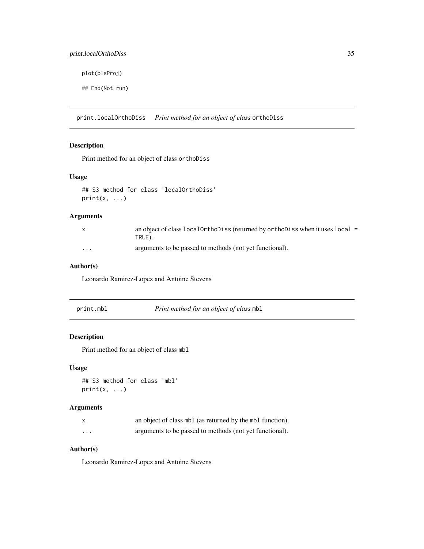#### <span id="page-34-0"></span>print.localOrthoDiss 35

plot(plsProj)

## End(Not run)

<span id="page-34-1"></span>print.localOrthoDiss *Print method for an object of class* orthoDiss

#### Description

Print method for an object of class orthoDiss

#### Usage

```
## S3 method for class 'localOrthoDiss'
print(x, \ldots)
```
#### Arguments

|          | an object of class local $Orthobis$ (returned by ortholoiss when it uses local =<br>TRUE). |
|----------|--------------------------------------------------------------------------------------------|
| $\cdots$ | arguments to be passed to methods (not yet functional).                                    |

#### Author(s)

Leonardo Ramirez-Lopez and Antoine Stevens

<span id="page-34-2"></span>

| print.mbl | <i>Print method for an object of class mbl</i> |
|-----------|------------------------------------------------|
|           |                                                |

#### Description

Print method for an object of class mbl

#### Usage

## S3 method for class 'mbl'  $print(x, \ldots)$ 

#### Arguments

|          | an object of class mbl (as returned by the mbl function). |
|----------|-----------------------------------------------------------|
| $\cdots$ | arguments to be passed to methods (not yet functional).   |

#### Author(s)

Leonardo Ramirez-Lopez and Antoine Stevens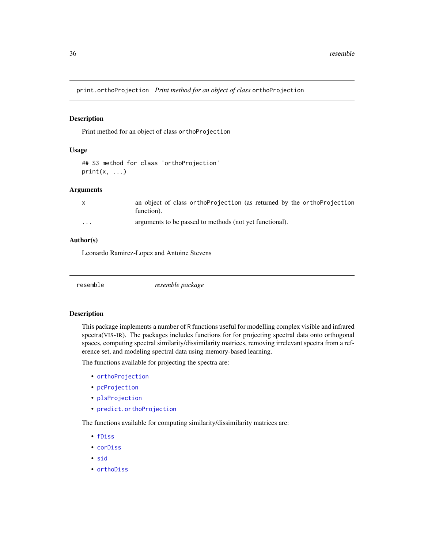<span id="page-35-1"></span><span id="page-35-0"></span>print.orthoProjection *Print method for an object of class* orthoProjection

#### Description

Print method for an object of class orthoProjection

#### Usage

```
## S3 method for class 'orthoProjection'
print(x, \ldots)
```
#### Arguments

|          | an object of class orthoProjection (as returned by the orthoProjection<br>function). |
|----------|--------------------------------------------------------------------------------------|
| $\cdots$ | arguments to be passed to methods (not yet functional).                              |

#### Author(s)

Leonardo Ramirez-Lopez and Antoine Stevens

| resemble | resemble package |
|----------|------------------|
|          |                  |

#### Description

This package implements a number of R functions useful for modelling complex visible and infrared spectra(VIS-IR). The packages includes functions for for projecting spectral data onto orthogonal spaces, computing spectral similarity/dissimilarity matrices, removing irrelevant spectra from a reference set, and modeling spectral data using memory-based learning.

The functions available for projecting the spectra are:

- [orthoProjection](#page-26-1)
- [pcProjection](#page-27-0)
- [plsProjection](#page-27-0)
- [predict.orthoProjection](#page-27-0)

The functions available for computing similarity/dissimilarity matrices are:

- [fDiss](#page-2-1)
- [corDiss](#page-1-1)
- [sid](#page-36-1)
- [orthoDiss](#page-23-1)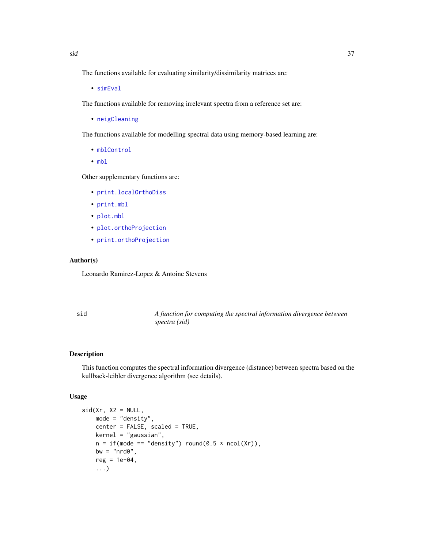<span id="page-36-0"></span>• [simEval](#page-39-1)

The functions available for removing irrelevant spectra from a reference set are:

• [neigCleaning](#page-18-1)

The functions available for modelling spectral data using memory-based learning are:

- [mblControl](#page-14-1)
- [mbl](#page-5-1)

Other supplementary functions are:

- [print.localOrthoDiss](#page-34-1)
- [print.mbl](#page-34-2)
- [plot.mbl](#page-31-1)
- [plot.orthoProjection](#page-33-1)
- [print.orthoProjection](#page-35-1)

#### Author(s)

Leonardo Ramirez-Lopez & Antoine Stevens

<span id="page-36-1"></span>sid *A function for computing the spectral information divergence between spectra (sid)*

#### Description

This function computes the spectral information divergence (distance) between spectra based on the kullback-leibler divergence algorithm (see details).

#### Usage

```
sid(Xr, X2 = NULL,mode = "density",
   center = FALSE, scaled = TRUE,
   kernel = "gaussian",
   n = if (mode == "density") round(0.5 * ncol(Xr)),bw = "nrd0",reg = 1e-04,...)
```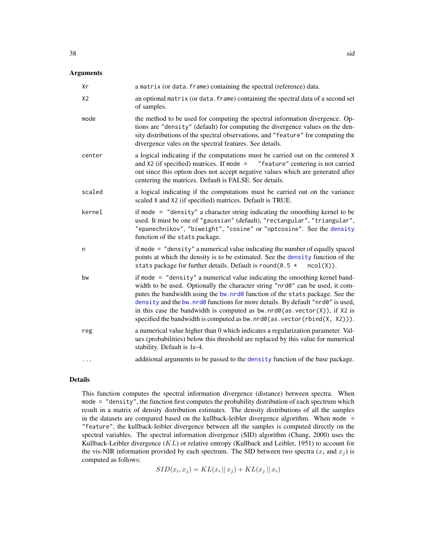#### <span id="page-37-0"></span>Arguments

| Xr             | a matrix (or data. frame) containing the spectral (reference) data.                                                                                                                                                                                                                                                                                                                                                                                                                                     |
|----------------|---------------------------------------------------------------------------------------------------------------------------------------------------------------------------------------------------------------------------------------------------------------------------------------------------------------------------------------------------------------------------------------------------------------------------------------------------------------------------------------------------------|
| X <sub>2</sub> | an optional matrix (or data. frame) containing the spectral data of a second set<br>of samples.                                                                                                                                                                                                                                                                                                                                                                                                         |
| mode           | the method to be used for computing the spectral information divergence. Op-<br>tions are "density" (default) for computing the divergence values on the den-<br>sity distributions of the spectral observations, and "feature" for computing the<br>divergence vales on the spectral features. See details.                                                                                                                                                                                            |
| center         | a logical indicating if the computations must be carried out on the centered X<br>and $X2$ (if specified) matrices. If mode =<br>"feature" centering is not carried<br>out since this option does not accept negative values which are generated after<br>centering the matrices. Default is FALSE. See details.                                                                                                                                                                                        |
| scaled         | a logical indicating if the computations must be carried out on the variance<br>scaled X and X2 (if specified) matrices. Default is TRUE.                                                                                                                                                                                                                                                                                                                                                               |
| kernel         | if mode $=$ "density" a character string indicating the smoothing kernel to be<br>used. It must be one of "gaussian" (default), "rectangular", "triangular",<br>"epanechnikov", "biweight", "cosine" or "optcosine". See the density<br>function of the stats package.                                                                                                                                                                                                                                  |
| n              | if mode = "density" a numerical value indicating the number of equally spaced<br>points at which the density is to be estimated. See the density function of the<br>stats package for further details. Default is round (0.5 *<br>$ncol(X)$ ).                                                                                                                                                                                                                                                          |
| bw             | if mode $=$ "density" a numerical value indicating the smoothing kernel band-<br>width to be used. Optionally the character string "nrd0" can be used, it com-<br>putes the bandwidth using the bw. nrd0 function of the stats package. See the<br>density and the bw. nrd0 functions for more details. By default "nrd0" is used,<br>in this case the bandwidth is computed as $bw$ . $nrd@(as. vector(X))$ , if X2 is<br>specified the bandwidth is computed as bw. $nrd0(as. vector(rbind(X, X2))).$ |
| reg            | a numerical value higher than 0 which indicates a regularization parameter. Val-<br>ues (probabilities) below this threshold are replaced by this value for numerical<br>stability. Default is 1e-4.                                                                                                                                                                                                                                                                                                    |
| $\cdots$       | additional arguments to be passed to the density function of the base package.                                                                                                                                                                                                                                                                                                                                                                                                                          |

#### Details

This function computes the spectral information divergence (distance) between spectra. When mode = "density", the function first computes the probability distribution of each spectrum which result in a matrix of density distribution estimates. The density distributions of all the samples in the datasets are compared based on the kullback-leibler divergence algorithm. When mode = "feature", the kullback-leibler divergence between all the samples is computed directly on the spectral variables. The spectral information divergence (SID) algorithm (Chang, 2000) uses the Kullback-Leibler divergence  $(KL)$  or relative entropy (Kullback and Leibler, 1951) to account for the vis-NIR information provided by each spectrum. The SID between two spectra  $(x_i$  and  $x_j)$  is computed as follows:

 $SID(x_i, x_j) = KL(x_i || x_j) + KL(x_j || x_i)$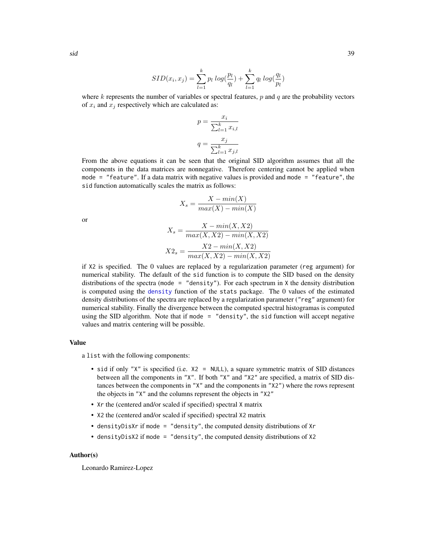$$
SID(x_i, x_j) = \sum_{l=1}^{k} p_l log(\frac{p_l}{q_l}) + \sum_{l=1}^{k} q_l log(\frac{q_l}{p_l})
$$

where k represents the number of variables or spectral features,  $p$  and  $q$  are the probability vectors of  $x_i$  and  $x_j$  respectively which are calculated as:

$$
p = \frac{x_i}{\sum_{l=1}^k x_{i,l}}
$$

$$
q = \frac{x_j}{\sum_{l=1}^k x_{j,l}}
$$

From the above equations it can be seen that the original SID algorithm assumes that all the components in the data matrices are nonnegative. Therefore centering cannot be applied when mode = "feature". If a data matrix with negative values is provided and mode = "feature", the sid function automatically scales the matrix as follows:

$$
X_s = \frac{X - min(X)}{max(X) - min(X)}
$$

or

$$
X_s = \frac{X - min(X, X2)}{max(X, X2) - min(X, X2)}
$$

$$
X2_s = \frac{X2 - min(X, X2)}{max(X, X2) - min(X, X2)}
$$

if X2 is specified. The 0 values are replaced by a regularization parameter (reg argument) for numerical stability. The default of the sid function is to compute the SID based on the density distributions of the spectra (mode = "density"). For each spectrum in  $X$  the density distribution is computed using the [density](#page-0-0) function of the stats package. The 0 values of the estimated density distributions of the spectra are replaced by a regularization parameter ("reg" argument) for numerical stability. Finally the divergence between the computed spectral histogramas is computed using the SID algorithm. Note that if mode = "density", the sid function will accept negative values and matrix centering will be possible.

#### Value

a list with the following components:

- sid if only "X" is specified (i.e. X2 = NULL), a square symmetric matrix of SID distances between all the components in "X". If both "X" and "X2" are specified, a matrix of SID distances between the components in "X" and the components in "X2") where the rows represent the objects in "X" and the columns represent the objects in "X2"
- Xr the (centered and/or scaled if specified) spectral X matrix
- X2 the (centered and/or scaled if specified) spectral X2 matrix
- densityDisXr if mode = "density", the computed density distributions of Xr
- densityDisX2 if mode = "density", the computed density distributions of X2

#### Author(s)

Leonardo Ramirez-Lopez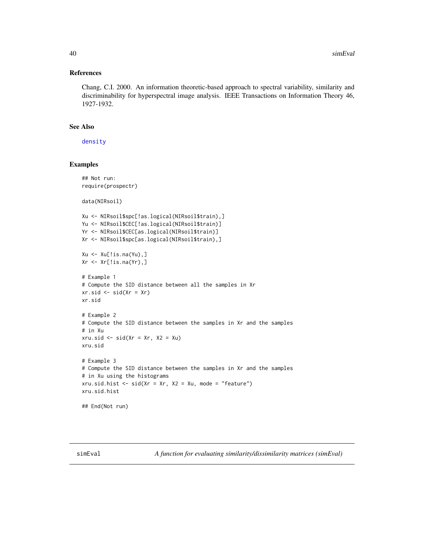#### <span id="page-39-0"></span>References

Chang, C.I. 2000. An information theoretic-based approach to spectral variability, similarity and discriminability for hyperspectral image analysis. IEEE Transactions on Information Theory 46, 1927-1932.

#### See Also

[density](#page-0-0)

#### Examples

```
## Not run:
require(prospectr)
data(NIRsoil)
Xu <- NIRsoil$spc[!as.logical(NIRsoil$train),]
Yu <- NIRsoil$CEC[!as.logical(NIRsoil$train)]
Yr <- NIRsoil$CEC[as.logical(NIRsoil$train)]
Xr <- NIRsoil$spc[as.logical(NIRsoil$train),]
Xu \leftarrow Xu[!is.na(Yu),]Xr <- Xr[!is.na(Yr),]
# Example 1
# Compute the SID distance between all the samples in Xr
xr.sid \leftarrow sid(Xr = Xr)xr.sid
# Example 2
# Compute the SID distance between the samples in Xr and the samples
# in Xu
xru.sid \le sid(Xr = xr, X2 = Xu)
xru.sid
# Example 3
# Compute the SID distance between the samples in Xr and the samples
# in Xu using the histograms
xru.sid.hist \leq sid(Xr = Xr, X2 = Xu, mode = "feature")xru.sid.hist
## End(Not run)
```
<span id="page-39-1"></span>simEval *A function for evaluating similarity/dissimilarity matrices (simEval)*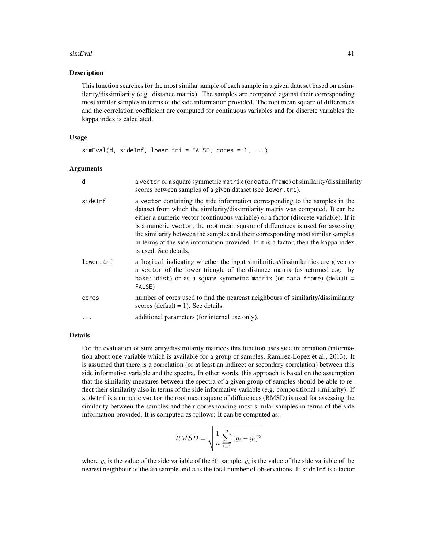#### simEval 41

#### Description

This function searches for the most similar sample of each sample in a given data set based on a similarity/dissimilarity (e.g. distance matrix). The samples are compared against their corresponding most similar samples in terms of the side information provided. The root mean square of differences and the correlation coefficient are computed for continuous variables and for discrete variables the kappa index is calculated.

#### Usage

```
simEval(d, sideInf, lower.tri = FALSE, cores = 1, ...)
```
#### Arguments

| d         | a vector or a square symmetric matrix (or data. frame) of similarity/dissimilarity<br>scores between samples of a given dataset (see lower.tri).                                                                                                                                                                                                                                                                                                                                                                                           |
|-----------|--------------------------------------------------------------------------------------------------------------------------------------------------------------------------------------------------------------------------------------------------------------------------------------------------------------------------------------------------------------------------------------------------------------------------------------------------------------------------------------------------------------------------------------------|
| sideInf   | a vector containing the side information corresponding to the samples in the<br>dataset from which the similarity/dissimilarity matrix was computed. It can be<br>either a numeric vector (continuous variable) or a factor (discrete variable). If it<br>is a numeric vector, the root mean square of differences is used for assessing<br>the similarity between the samples and their corresponding most similar samples<br>in terms of the side information provided. If it is a factor, then the kappa index<br>is used. See details. |
| lower.tri | a logical indicating whether the input similarities/dissimilarities are given as<br>a vector of the lower triangle of the distance matrix (as returned e.g. by<br>base:: dist) or as a square symmetric matrix (or data. frame) (default =<br>FALSE)                                                                                                                                                                                                                                                                                       |
| cores     | number of cores used to find the neareast neighbours of similarity/dissimilarity<br>scores (default $= 1$ ). See details.                                                                                                                                                                                                                                                                                                                                                                                                                  |
|           | additional parameters (for internal use only).                                                                                                                                                                                                                                                                                                                                                                                                                                                                                             |

#### Details

For the evaluation of similarity/dissimilarity matrices this function uses side information (information about one variable which is available for a group of samples, Ramirez-Lopez et al., 2013). It is assumed that there is a correlation (or at least an indirect or secondary correlation) between this side informative variable and the spectra. In other words, this approach is based on the assumption that the similarity measures between the spectra of a given group of samples should be able to reflect their similarity also in terms of the side informative variable (e.g. compositional similarity). If sideInf is a numeric vector the root mean square of differences (RMSD) is used for assessing the similarity between the samples and their corresponding most similar samples in terms of the side information provided. It is computed as follows: It can be computed as:

$$
RMSD = \sqrt{\frac{1}{n} \sum_{i=1}^{n} (y_i - \ddot{y}_i)^2}
$$

where  $y_i$  is the value of the side variable of the *i*th sample,  $\ddot{y}_i$  is the value of the side variable of the nearest neighbour of the *i*th sample and  $n$  is the total number of observations. If sideInf is a factor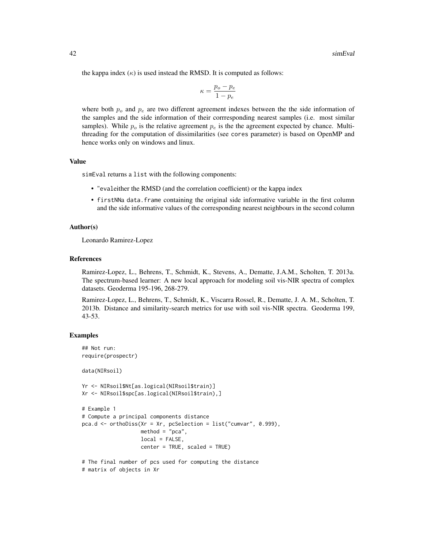the kappa index  $(\kappa)$  is used instead the RMSD. It is computed as follows:

$$
\kappa = \frac{p_o - p_e}{1 - p_e}
$$

where both  $p<sub>o</sub>$  and  $p<sub>e</sub>$  are two different agreement indexes between the the side information of the samples and the side information of their corrresponding nearest samples (i.e. most similar samples). While  $p<sub>o</sub>$  is the relative agreement  $p<sub>e</sub>$  is the the agreement expected by chance. Multithreading for the computation of dissimilarities (see cores parameter) is based on OpenMP and hence works only on windows and linux.

#### Value

simEval returns a list with the following components:

- "evaleither the RMSD (and the correlation coefficient) or the kappa index
- firstNNa data.frame containing the original side informative variable in the first column and the side informative values of the corresponding nearest neighbours in the second column

#### Author(s)

Leonardo Ramirez-Lopez

#### References

Ramirez-Lopez, L., Behrens, T., Schmidt, K., Stevens, A., Dematte, J.A.M., Scholten, T. 2013a. The spectrum-based learner: A new local approach for modeling soil vis-NIR spectra of complex datasets. Geoderma 195-196, 268-279.

Ramirez-Lopez, L., Behrens, T., Schmidt, K., Viscarra Rossel, R., Dematte, J. A. M., Scholten, T. 2013b. Distance and similarity-search metrics for use with soil vis-NIR spectra. Geoderma 199, 43-53.

#### Examples

```
## Not run:
require(prospectr)
```
data(NIRsoil)

```
Yr <- NIRsoil$Nt[as.logical(NIRsoil$train)]
Xr <- NIRsoil$spc[as.logical(NIRsoil$train),]
```

```
# Example 1
# Compute a principal components distance
pca.d <- orthoDiss(Xr = Xr, pcSelection = list("cumvar", 0.999),
                   method = "pca",local = FALSE,
                   center = TRUE, scaled = TRUE)
```

```
# The final number of pcs used for computing the distance
# matrix of objects in Xr
```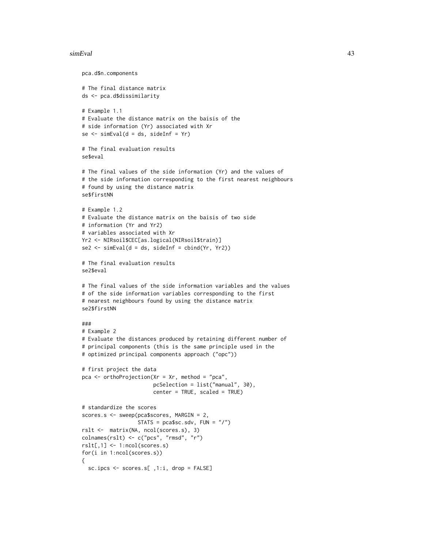#### simEval 43

```
pca.d$n.components
# The final distance matrix
ds <- pca.d$dissimilarity
# Example 1.1
# Evaluate the distance matrix on the baisis of the
# side information (Yr) associated with Xr
se < - \text{simEval}(d = ds, \text{ sideInf} = Yr)# The final evaluation results
se$eval
# The final values of the side information (Yr) and the values of
# the side information corresponding to the first nearest neighbours
# found by using the distance matrix
se$firstNN
# Example 1.2
# Evaluate the distance matrix on the baisis of two side
# information (Yr and Yr2)
# variables associated with Xr
Yr2 <- NIRsoil$CEC[as.logical(NIRsoil$train)]
se2 \leq simEval(d = ds, sideInf = cbind(Yr, Yr2))
# The final evaluation results
se2$eval
# The final values of the side information variables and the values
# of the side information variables corresponding to the first
# nearest neighbours found by using the distance matrix
se2$firstNN
###
# Example 2
# Evaluate the distances produced by retaining different number of
# principal components (this is the same principle used in the
# optimized principal components approach ("opc"))
# first project the data
pca <- orthoProjection(Xr = Xr, method = "pca",
                       pcSelection = list("manual", 30),
                       center = TRUE, scaled = TRUE)
# standardize the scores
scores.s <- sweep(pca$scores, MARGIN = 2,
                  STATS = pca$sc.sdv, FUN = "<math>'</math>")rslt <- matrix(NA, ncol(scores.s), 3)
colnames(rslt) <- c("pcs", "rmsd", "r")
rslt[,1] <- 1:ncol(scores.s)
for(i in 1:ncol(scores.s))
{
  sc.ipcs <- scores.s[ ,1:i, drop = FALSE]
```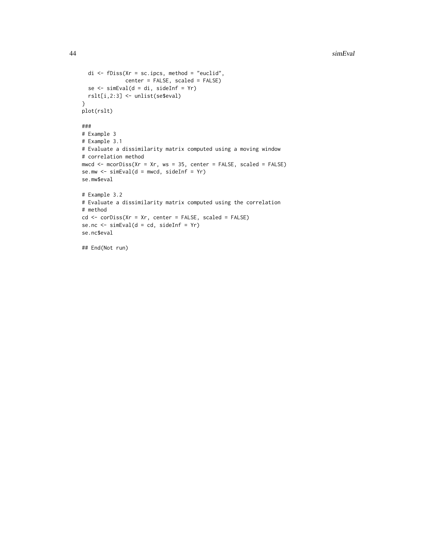```
di \leq fDiss(Xr = sc.ipcs, method = "euclid",
             center = FALSE, scaled = FALSE)
 se <- simEval(d = di, sideInf = Yr)
 rslt[i,2:3] <- unlist(se$eval)
}
plot(rslt)
###
# Example 3
# Example 3.1
# Evaluate a dissimilarity matrix computed using a moving window
# correlation method
mwcd \leq mcorDiss(Xr = Xr, ws = 35, center = FALSE, scaled = FALSE)
se.mw \le simEval(d = mwcd, sideInf = Yr)
se.mw$eval
# Example 3.2
# Evaluate a dissimilarity matrix computed using the correlation
# method
cd <- corDiss(Xr = Xr, center = FALSE, scaled = FALSE)
se.nc <- simEval(d = cd, sideInf = Yr)
se.nc$eval
## End(Not run)
```